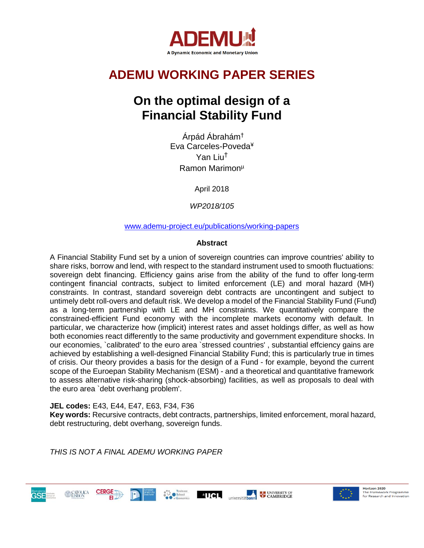

# **ADEMU WORKING PAPER SERIES**

# **On the optimal design of a Financial Stability Fund**

Árpád Ábrahám† Eva Carceles-Poveda¥ Yan Liu<sup>Ť</sup> Ramon Marimon<sup>µ</sup>

April 2018

*WP2018/105* 

### [www.ademu-project.eu/publications/working-papers](http://www.ademu-project.eu/publications/working-papers)

### **Abstract**

A Financial Stability Fund set by a union of sovereign countries can improve countries' ability to share risks, borrow and lend, with respect to the standard instrument used to smooth fluctuations: sovereign debt financing. Efficiency gains arise from the ability of the fund to offer long-term contingent financial contracts, subject to limited enforcement (LE) and moral hazard (MH) constraints. In contrast, standard sovereign debt contracts are uncontingent and subject to untimely debt roll-overs and default risk. We develop a model of the Financial Stability Fund (Fund) as a long-term partnership with LE and MH constraints. We quantitatively compare the constrained-efficient Fund economy with the incomplete markets economy with default. In particular, we characterize how (implicit) interest rates and asset holdings differ, as well as how both economies react differently to the same productivity and government expenditure shocks. In our economies, `calibrated' to the euro area `stressed countries' , substantial effciency gains are achieved by establishing a well-designed Financial Stability Fund; this is particularly true in times of crisis. Our theory provides a basis for the design of a Fund - for example, beyond the current scope of the Euroepan Stability Mechanism (ESM) - and a theoretical and quantitative framework to assess alternative risk-sharing (shock-absorbing) facilities, as well as proposals to deal with the euro area `debt overhang problem'.

**JEL codes:** E43, E44, E47, E63, F34, F36

**Key words:** Recursive contracts, debt contracts, partnerships, limited enforcement, moral hazard, debt restructuring, debt overhang, sovereign funds.

*THIS IS NOT A FINAL ADEMU WORKING PAPER*



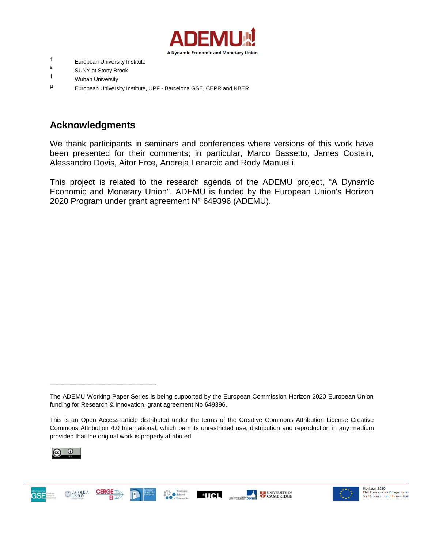

- † European University Institute
- <sup>≢</sup> SUNY at Stony Brook<br>T⊤ Muber University
- **Wuhan University**
- <sup>µ</sup> European University Institute, UPF Barcelona GSE, CEPR and NBER

## **Acknowledgments**

We thank participants in seminars and conferences where versions of this work have been presented for their comments; in particular, Marco Bassetto, James Costain, Alessandro Dovis, Aitor Erce, Andreja Lenarcic and Rody Manuelli.

This project is related to the research agenda of the ADEMU project, "A Dynamic Economic and Monetary Union". ADEMU is funded by the European Union's Horizon 2020 Program under grant agreement N° 649396 (ADEMU).

This is an Open Access article distributed under the terms of the Creative Commons Attribution License Creative Commons Attribution 4.0 International, which permits unrestricted use, distribution and reproduction in any medium provided that the original work is properly attributed.



**GSE** 

\_\_\_\_\_\_\_\_\_\_\_\_\_\_\_\_\_\_\_\_\_\_\_\_\_

**CERGE** 







The ADEMU Working Paper Series is being supported by the European Commission Horizon 2020 European Union funding for Research & Innovation, grant agreement No 649396.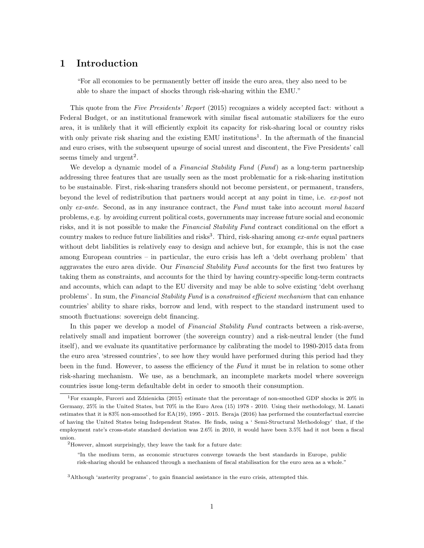### 1 Introduction

"For all economies to be permanently better off inside the euro area, they also need to be able to share the impact of shocks through risk-sharing within the EMU."

This quote from the Five Presidents' Report (2015) recognizes a widely accepted fact: without a Federal Budget, or an institutional framework with similar fiscal automatic stabilizers for the euro area, it is unlikely that it will efficiently exploit its capacity for risk-sharing local or country risks with only private risk sharing and the existing EMU institutions<sup>1</sup>. In the aftermath of the financial and euro crises, with the subsequent upsurge of social unrest and discontent, the Five Presidents' call seems timely and  $\text{urgent}^2$ .

We develop a dynamic model of a Financial Stability Fund (Fund) as a long-term partnership addressing three features that are usually seen as the most problematic for a risk-sharing institution to be sustainable. First, risk-sharing transfers should not become persistent, or permanent, transfers, beyond the level of redistribution that partners would accept at any point in time, i.e. ex-post not only ex-ante. Second, as in any insurance contract, the Fund must take into account moral hazard problems, e.g. by avoiding current political costs, governments may increase future social and economic risks, and it is not possible to make the Financial Stability Fund contract conditional on the effort a country makes to reduce future liabilities and risks<sup>3</sup>. Third, risk-sharing among ex-ante equal partners without debt liabilities is relatively easy to design and achieve but, for example, this is not the case among European countries – in particular, the euro crisis has left a 'debt overhang problem' that aggravates the euro area divide. Our Financial Stability Fund accounts for the first two features by taking them as constraints, and accounts for the third by having country-specific long-term contracts and accounts, which can adapt to the EU diversity and may be able to solve existing 'debt overhang problems'. In sum, the Financial Stability Fund is a constrained efficient mechanism that can enhance countries' ability to share risks, borrow and lend, with respect to the standard instrument used to smooth fluctuations: sovereign debt financing.

In this paper we develop a model of Financial Stability Fund contracts between a risk-averse, relatively small and impatient borrower (the sovereign country) and a risk-neutral lender (the fund itself), and we evaluate its quantitative performance by calibrating the model to 1980-2015 data from the euro area 'stressed countries', to see how they would have performed during this period had they been in the fund. However, to assess the efficiency of the Fund it must be in relation to some other risk-sharing mechanism. We use, as a benchmark, an incomplete markets model where sovereign countries issue long-term defaultable debt in order to smooth their consumption.

<sup>&</sup>lt;sup>1</sup>For example, Furceri and Zdzienicka (2015) estimate that the percentage of non-smoothed GDP shocks is  $20\%$  in Germany, 25% in the United States, but 70% in the Euro Area (15) 1978 - 2010. Using their methodology, M. Lanati estimates that it is 83% non-smoothed for EA(19), 1995 - 2015. Beraja (2016) has performed the counterfactual exercise of having the United States being Independent States. He finds, using a ' Semi-Structural Methodology' that, if the employment rate's cross-state standard deviation was 2.6% in 2010, it would have been 3.5% had it not been a fiscal union.

<sup>2</sup>However, almost surprisingly, they leave the task for a future date:

<sup>&</sup>quot;In the medium term, as economic structures converge towards the best standards in Europe, public risk-sharing should be enhanced through a mechanism of fiscal stabilisation for the euro area as a whole."

<sup>3</sup>Although 'austerity programs' , to gain financial assistance in the euro crisis, attempted this.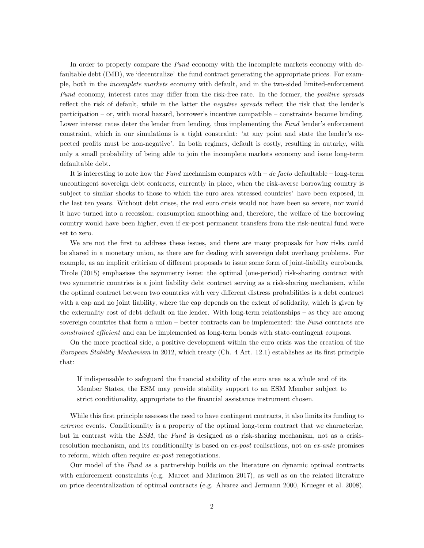In order to properly compare the Fund economy with the incomplete markets economy with defaultable debt (IMD), we 'decentralize' the fund contract generating the appropriate prices. For example, both in the incomplete markets economy with default, and in the two-sided limited-enforcement Fund economy, interest rates may differ from the risk-free rate. In the former, the *positive spreads* reflect the risk of default, while in the latter the negative spreads reflect the risk that the lender's participation – or, with moral hazard, borrower's incentive compatible – constraints become binding. Lower interest rates deter the lender from lending, thus implementing the Fund lender's enforcement constraint, which in our simulations is a tight constraint: 'at any point and state the lender's expected profits must be non-negative'. In both regimes, default is costly, resulting in autarky, with only a small probability of being able to join the incomplete markets economy and issue long-term defaultable debt.

It is interesting to note how the Fund mechanism compares with  $-$  de facto defaultable  $-$  long-term uncontingent sovereign debt contracts, currently in place, when the risk-averse borrowing country is subject to similar shocks to those to which the euro area 'stressed countries' have been exposed, in the last ten years. Without debt crises, the real euro crisis would not have been so severe, nor would it have turned into a recession; consumption smoothing and, therefore, the welfare of the borrowing country would have been higher, even if ex-post permanent transfers from the risk-neutral fund were set to zero.

We are not the first to address these issues, and there are many proposals for how risks could be shared in a monetary union, as there are for dealing with sovereign debt overhang problems. For example, as an implicit criticism of different proposals to issue some form of joint-liability eurobonds, Tirole (2015) emphasises the asymmetry issue: the optimal (one-period) risk-sharing contract with two symmetric countries is a joint liability debt contract serving as a risk-sharing mechanism, while the optimal contract between two countries with very different distress probabilities is a debt contract with a cap and no joint liability, where the cap depends on the extent of solidarity, which is given by the externality cost of debt default on the lender. With long-term relationships – as they are among sovereign countries that form a union – better contracts can be implemented: the Fund contracts are constrained efficient and can be implemented as long-term bonds with state-contingent coupons.

On the more practical side, a positive development within the euro crisis was the creation of the European Stability Mechanism in 2012, which treaty (Ch. 4 Art. 12.1) establishes as its first principle that:

If indispensable to safeguard the financial stability of the euro area as a whole and of its Member States, the ESM may provide stability support to an ESM Member subject to strict conditionality, appropriate to the financial assistance instrument chosen.

While this first principle assesses the need to have contingent contracts, it also limits its funding to extreme events. Conditionality is a property of the optimal long-term contract that we characterize, but in contrast with the ESM, the Fund is designed as a risk-sharing mechanism, not as a crisisresolution mechanism, and its conditionality is based on ex-post realisations, not on ex-ante promises to reform, which often require ex-post renegotiations.

Our model of the Fund as a partnership builds on the literature on dynamic optimal contracts with enforcement constraints (e.g. Marcet and Marimon 2017), as well as on the related literature on price decentralization of optimal contracts (e.g. Alvarez and Jermann 2000, Krueger et al. 2008).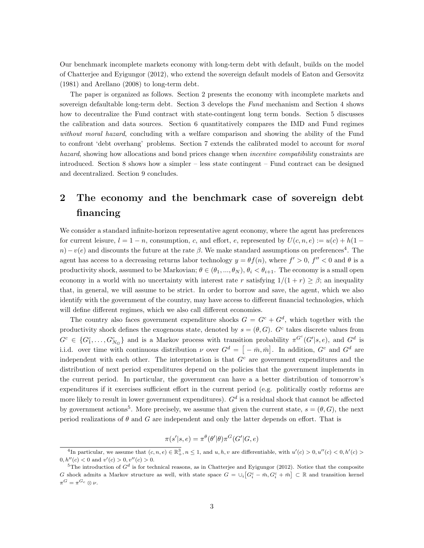Our benchmark incomplete markets economy with long-term debt with default, builds on the model of Chatterjee and Eyigungor (2012), who extend the sovereign default models of Eaton and Gersovitz (1981) and Arellano (2008) to long-term debt.

The paper is organized as follows. Section 2 presents the economy with incomplete markets and sovereign defaultable long-term debt. Section 3 develops the Fund mechanism and Section 4 shows how to decentralize the Fund contract with state-contingent long term bonds. Section 5 discusses the calibration and data sources. Section 6 quantitatively compares the IMD and Fund regimes without moral hazard, concluding with a welfare comparison and showing the ability of the Fund to confront 'debt overhang' problems. Section 7 extends the calibrated model to account for moral hazard, showing how allocations and bond prices change when *incentive compatibility* constraints are introduced. Section 8 shows how a simpler – less state contingent – Fund contract can be designed and decentralized. Section 9 concludes.

## 2 The economy and the benchmark case of sovereign debt financing

We consider a standard infinite-horizon representative agent economy, where the agent has preferences for current leisure,  $l = 1 - n$ , consumption, c, and effort, e, represented by  $U(c, n, e) := u(c) + h(1$  $n)-v(e)$  and discounts the future at the rate  $\beta$ . We make standard assumptions on preferences<sup>4</sup>. The agent has access to a decreasing returns labor technology  $y = \theta f(n)$ , where  $f' > 0$ ,  $f'' < 0$  and  $\theta$  is a productivity shock, assumed to be Markovian;  $\theta \in (\theta_1, ..., \theta_N)$ ,  $\theta_i < \theta_{i+1}$ . The economy is a small open economy in a world with no uncertainty with interest rate r satisfying  $1/(1+r) \geq \beta$ ; an inequality that, in general, we will assume to be strict. In order to borrow and save, the agent, which we also identify with the government of the country, may have access to different financial technologies, which will define different regimes, which we also call different economies.

The country also faces government expenditure shocks  $G = G^c + G^d$ , which together with the productivity shock defines the exogenous state, denoted by  $s = (\theta, G)$ . G<sup>c</sup> takes discrete values from  $G^c \in \{G_1^c, \ldots, G_{N_G}^c\}$  and is a Markov process with transition probability  $\pi^{G^c}(G'|s, e)$ , and  $G^d$  is i.i.d. over time with continuous distribution  $\nu$  over  $G^d = \left[ -\bar{m}, \bar{m} \right]$ . In addition,  $G^c$  and  $G^d$  are independent with each other. The interpretation is that  $G<sup>c</sup>$  are government expenditures and the distribution of next period expenditures depend on the policies that the government implements in the current period. In particular, the government can have a a better distribution of tomorrow's expenditures if it exercises sufficient effort in the current period (e.g. politically costly reforms are more likely to result in lower government expenditures).  $G<sup>d</sup>$  is a residual shock that cannot be affected by government actions<sup>5</sup>. More precisely, we assume that given the current state,  $s = (\theta, G)$ , the next period realizations of  $\theta$  and  $G$  are independent and only the latter depends on effort. That is

$$
\pi(s'|s,e) = \pi^{\theta}(\theta'|\theta)\pi^{G}(G'|G,e)
$$

<sup>&</sup>lt;sup>4</sup>In particular, we assume that  $(c, n, e) \in \mathbb{R}^3_+, n \leq 1$ , and  $u, h, v$  are differentiable, with  $u'(c) > 0, u''(c) < 0, h'(c) >$  $0, h''(c) < 0$  and  $v'(c) > 0, v''(c) > 0$ .

<sup>&</sup>lt;sup>5</sup>The introduction of  $G<sup>d</sup>$  is for technical reasons, as in Chatterjee and Eyigungor (2012). Notice that the composite G shock admits a Markov structure as well, with state space  $G = \bigcup_i [G_i^c - \bar{m}, G_i^c + \bar{m}] \subset \mathbb{R}$  and transition kernel  $\pi^G = \pi^{G_c} \otimes \nu.$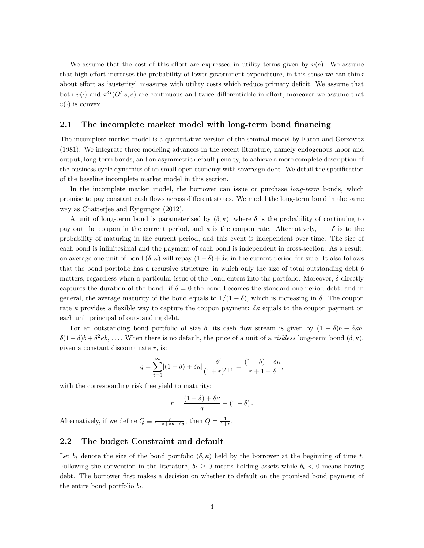We assume that the cost of this effort are expressed in utility terms given by  $v(e)$ . We assume that high effort increases the probability of lower government expenditure, in this sense we can think about effort as 'austerity' measures with utility costs which reduce primary deficit. We assume that both  $v(\cdot)$  and  $\pi^G(G'|s, e)$  are continuous and twice differentiable in effort, moreover we assume that  $v(\cdot)$  is convex.

#### 2.1 The incomplete market model with long-term bond financing

The incomplete market model is a quantitative version of the seminal model by Eaton and Gersovitz (1981). We integrate three modeling advances in the recent literature, namely endogenous labor and output, long-term bonds, and an asymmetric default penalty, to achieve a more complete description of the business cycle dynamics of an small open economy with sovereign debt. We detail the specification of the baseline incomplete market model in this section.

In the incomplete market model, the borrower can issue or purchase long-term bonds, which promise to pay constant cash flows across different states. We model the long-term bond in the same way as Chatterjee and Eyigungor (2012).

A unit of long-term bond is parameterized by  $(\delta, \kappa)$ , where  $\delta$  is the probability of continuing to pay out the coupon in the current period, and  $\kappa$  is the coupon rate. Alternatively,  $1 - \delta$  is to the probability of maturing in the current period, and this event is independent over time. The size of each bond is infinitesimal and the payment of each bond is independent in cross-section. As a result, on average one unit of bond  $(\delta, \kappa)$  will repay  $(1 - \delta) + \delta \kappa$  in the current period for sure. It also follows that the bond portfolio has a recursive structure, in which only the size of total outstanding debt b matters, regardless when a particular issue of the bond enters into the portfolio. Moreover,  $\delta$  directly captures the duration of the bond: if  $\delta = 0$  the bond becomes the standard one-period debt, and in general, the average maturity of the bond equals to  $1/(1 - \delta)$ , which is increasing in  $\delta$ . The coupon rate  $\kappa$  provides a flexible way to capture the coupon payment:  $\delta \kappa$  equals to the coupon payment on each unit principal of outstanding debt.

For an outstanding bond portfolio of size b, its cash flow stream is given by  $(1 - \delta)b + \delta \kappa b$ ,  $\delta(1-\delta)b+\delta^2\kappa b, \ldots$ . When there is no default, the price of a unit of a *riskless* long-term bond  $(\delta, \kappa)$ , given a constant discount rate  $r$ , is:

$$
q = \sum_{t=0}^{\infty} [(1-\delta) + \delta \kappa] \frac{\delta^t}{(1+r)^{t+1}} = \frac{(1-\delta) + \delta \kappa}{r+1-\delta},
$$

with the corresponding risk free yield to maturity:

$$
r = \frac{(1 - \delta) + \delta \kappa}{q} - (1 - \delta).
$$

Alternatively, if we define  $Q \equiv \frac{q}{1-\delta+\delta\kappa+\delta q}$ , then  $Q = \frac{1}{1+r}$ .

### 2.2 The budget Constraint and default

Let  $b_t$  denote the size of the bond portfolio  $(\delta, \kappa)$  held by the borrower at the beginning of time t. Following the convention in the literature,  $b_t \geq 0$  means holding assets while  $b_t < 0$  means having debt. The borrower first makes a decision on whether to default on the promised bond payment of the entire bond portfolio  $b_t$ .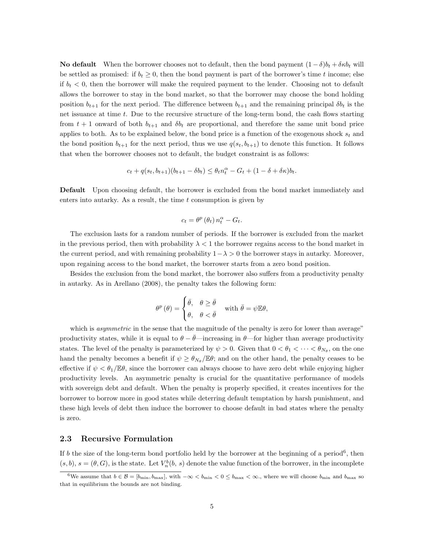No default When the borrower chooses not to default, then the bond payment  $(1 - \delta)b_t + \delta \kappa b_t$  will be settled as promised: if  $b_t \geq 0$ , then the bond payment is part of the borrower's time t income; else if  $b_t < 0$ , then the borrower will make the required payment to the lender. Choosing not to default allows the borrower to stay in the bond market, so that the borrower may choose the bond holding position  $b_{t+1}$  for the next period. The difference between  $b_{t+1}$  and the remaining principal  $\delta b_t$  is the net issuance at time t. Due to the recursive structure of the long-term bond, the cash flows starting from  $t + 1$  onward of both  $b_{t+1}$  and  $\delta b_t$  are proportional, and therefore the same unit bond price applies to both. As to be explained below, the bond price is a function of the exogenous shock  $s_t$  and the bond position  $b_{t+1}$  for the next period, thus we use  $q(s_t, b_{t+1})$  to denote this function. It follows that when the borrower chooses not to default, the budget constraint is as follows:

$$
c_t + q(s_t, b_{t+1})(b_{t+1} - \delta b_t) \leq \theta_t n_t^{\alpha} - G_t + (1 - \delta + \delta \kappa) b_t.
$$

Default Upon choosing default, the borrower is excluded from the bond market immediately and enters into autarky. As a result, the time  $t$  consumption is given by

$$
c_t = \theta^p(\theta_t) n_t^{\alpha} - G_t.
$$

The exclusion lasts for a random number of periods. If the borrower is excluded from the market in the previous period, then with probability  $\lambda < 1$  the borrower regains access to the bond market in the current period, and with remaining probability  $1-\lambda > 0$  the borrower stays in autarky. Moreover, upon regaining access to the bond market, the borrower starts from a zero bond position.

Besides the exclusion from the bond market, the borrower also suffers from a productivity penalty in autarky. As in Arellano (2008), the penalty takes the following form:

$$
\theta^p(\theta) = \begin{cases} \bar{\theta}, & \theta \ge \bar{\theta} \\ \theta, & \theta < \bar{\theta} \end{cases} \text{ with } \bar{\theta} = \psi \mathbb{E} \theta,
$$

which is *asymmetric* in the sense that the magnitude of the penalty is zero for lower than average" productivity states, while it is equal to  $\theta - \bar{\theta}$ —increasing in  $\theta$ —for higher than average productivity states. The level of the penalty is parameterized by  $\psi > 0$ . Given that  $0 < \theta_1 < \cdots < \theta_{N_{\theta}}$ , on the one hand the penalty becomes a benefit if  $\psi \geq \theta_{N_{\theta}}/\mathbb{E}\theta$ ; and on the other hand, the penalty ceases to be effective if  $\psi < \theta_1/\mathbb{E}\theta$ , since the borrower can always choose to have zero debt while enjoying higher productivity levels. An asymmetric penalty is crucial for the quantitative performance of models with sovereign debt and default. When the penalty is properly specified, it creates incentives for the borrower to borrow more in good states while deterring default temptation by harsh punishment, and these high levels of debt then induce the borrower to choose default in bad states where the penalty is zero.

#### 2.3 Recursive Formulation

If b the size of the long-term bond portfolio held by the borrower at the beginning of a period<sup>6</sup>, then  $(s, b), s = (\theta, G)$ , is the state. Let  $V_n^b(b, s)$  denote the value function of the borrower, in the incomplete

 $6\text{We assume that }b\in\mathcal{B}=[b_{\text{min}},b_{\text{max}}], \text{ with } -\infty, where we will choose  $b_{\text{min}}$  and  $b_{\text{max}}$  so$ that in equilibrium the bounds are not binding.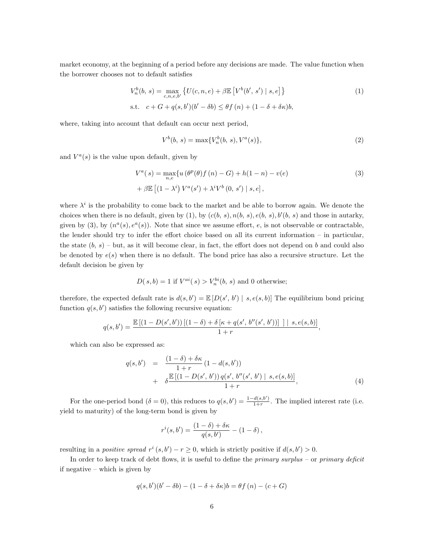market economy, at the beginning of a period before any decisions are made. The value function when the borrower chooses not to default satisfies

$$
V_n^b(b, s) = \max_{c, n, e, b'} \{ U(c, n, e) + \beta \mathbb{E} \left[ V^b(b', s') \mid s, e \right] \}
$$
  
s.t.  $c + G + q(s, b')(b' - \delta b) \le \theta f(n) + (1 - \delta + \delta \kappa)b$ , (1)

where, taking into account that default can occur next period,

$$
V^{b}(b, s) = \max\{V^{b}_{n}(b, s), V^{a}(s)\},
$$
\n(2)

and  $V^a(s)$  is the value upon default, given by

$$
V^{a}(s) = \max_{n,e} \{ u(\theta^{p}(\theta)f(n) - G) + h(1 - n) - v(e) \} + \beta \mathbb{E} \left[ (1 - \lambda^{i}) V^{a}(s') + \lambda^{i} V^{b}(0, s') \mid s, e \right],
$$
 (3)

where  $\lambda^i$  is the probability to come back to the market and be able to borrow again. We denote the choices when there is no default, given by (1), by  $(c(b, s), n(b, s), e(b, s), b'(b, s))$  and those in autarky, given by (3), by  $(n^a(s), e^a(s))$ . Note that since we assume effort, e, is not observable or contractable, the lender should try to infer the effort choice based on all its current information – in particular, the state  $(b, s)$  – but, as it will become clear, in fact, the effort does not depend on b and could also be denoted by  $e(s)$  when there is no default. The bond price has also a recursive structure. Let the default decision be given by

$$
D(s,b) = 1
$$
 if  $V^{ai}(s) > V^{bi}_n(b, s)$  and 0 otherwise;

therefore, the expected default rate is  $d(s, b') = \mathbb{E} [D(s', b') | s, e(s, b)]$  The equilibrium bond pricing function  $q(s, b')$  satisfies the following recursive equation:

$$
q(s,b') = \frac{\mathbb{E}\left[\left(1-D(s',b')\right)\left[\left(1-\delta\right)+\delta\left[\kappa+q(s',\,b''(s',\,b')\right)\right]\; \right] \; | \; s,e(s,b)]}{1+r},
$$

which can also be expressed as:

$$
q(s,b') = \frac{(1-\delta) + \delta\kappa}{1+r} (1 - d(s,b')) + \delta \frac{\mathbb{E}[(1-D(s',b'))q(s',b''(s',b') | s,e(s,b)]}{1+r},
$$
\n(4)

For the one-period bond  $(\delta = 0)$ , this reduces to  $q(s, b') = \frac{1-d(s, b')}{1+r}$  $\frac{a(s,b')}{1+r}$ . The implied interest rate (i.e. yield to maturity) of the long-term bond is given by

$$
r^{i}(s,b') = \frac{(1-\delta)+\delta \kappa}{q(s,b')} - (1-\delta) ,
$$

resulting in a *positive spread*  $r^{i}(s, b') - r \ge 0$ , which is strictly positive if  $d(s, b') > 0$ .

In order to keep track of debt flows, it is useful to define the *primary surplus –* or *primary deficit* if negative – which is given by

$$
q(s,b')(b'-\delta b) - (1-\delta+\delta \kappa)b = \theta f(n) - (c+G)
$$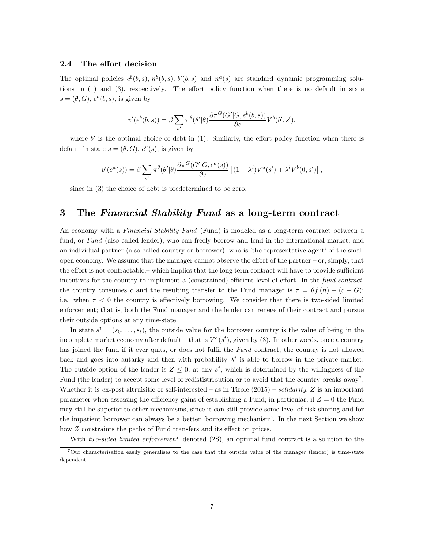#### 2.4 The effort decision

The optimal policies  $c^b(b, s), n^b(b, s), b'(b, s)$  and  $n^a(s)$  are standard dynamic programming solutions to (1) and (3), respectively. The effort policy function when there is no default in state  $s = (\theta, G), e^{b}(b, s),$  is given by

$$
v'(e^{b}(b,s)) = \beta \sum_{s'} \pi^{\theta}(\theta'|\theta) \frac{\partial \pi^{G}(G'|G, e^{b}(b,s))}{\partial e} V^{b}(b', s'),
$$

where  $b'$  is the optimal choice of debt in  $(1)$ . Similarly, the effort policy function when there is default in state  $s = (\theta, G)$ ,  $e^{\alpha}(s)$ , is given by

$$
v'(e^a(s)) = \beta \sum_{s'} \pi^{\theta}(\theta'|\theta) \frac{\partial \pi^G(G'|G, e^a(s))}{\partial e} \left[ (1 - \lambda^i) V^a(s') + \lambda^i V^b(0, s') \right],
$$

since in (3) the choice of debt is predetermined to be zero.

### 3 The Financial Stability Fund as a long-term contract

An economy with a Financial Stability Fund (Fund) is modeled as a long-term contract between a fund, or Fund (also called lender), who can freely borrow and lend in the international market, and an individual partner (also called country or borrower), who is 'the representative agent' of the small open economy. We assume that the manager cannot observe the effort of the partner – or, simply, that the effort is not contractable,– which implies that the long term contract will have to provide sufficient incentives for the country to implement a (constrained) efficient level of effort. In the fund contract, the country consumes c and the resulting transfer to the Fund manager is  $\tau = \theta f(n) - (c + G);$ i.e. when  $\tau < 0$  the country is effectively borrowing. We consider that there is two-sided limited enforcement; that is, both the Fund manager and the lender can renege of their contract and pursue their outside options at any time-state.

In state  $s^t = (s_0, \ldots, s_t)$ , the outside value for the borrower country is the value of being in the incomplete market economy after default – that is  $V^a(s^t)$ , given by (3). In other words, once a country has joined the fund if it ever quits, or does not fulfil the Fund contract, the country is not allowed back and goes into autarky and then with probability  $\lambda^i$  is able to borrow in the private market. The outside option of the lender is  $Z \leq 0$ , at any  $s^t$ , which is determined by the willingness of the Fund (the lender) to accept some level of redististribution or to avoid that the country breaks away<sup>7</sup>. Whether it is ex-post altruisitic or self-interested – as in Tirole  $(2015)$  – solidarity, Z is an important parameter when assessing the efficiency gains of establishing a Fund; in particular, if  $Z = 0$  the Fund may still be superior to other mechanisms, since it can still provide some level of risk-sharing and for the impatient borrower can always be a better 'borrowing mechanism'. In the next Section we show how Z constraints the paths of Fund transfers and its effect on prices.

With two-sided limited enforcement, denoted  $(2S)$ , an optimal fund contract is a solution to the

<sup>7</sup>Our characterisation easily generalises to the case that the outside value of the manager (lender) is time-state dependent.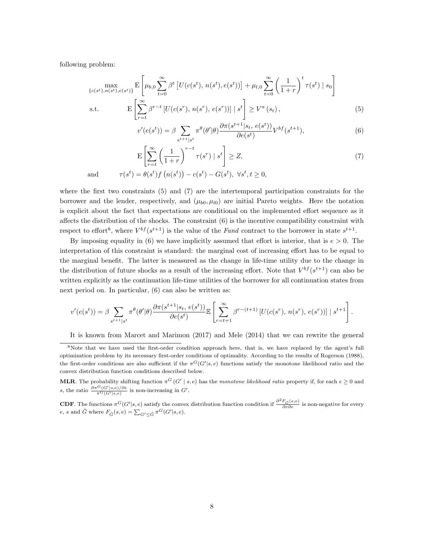following problem:

$$
\max_{\{c(s^t), n(s^t), e(s^t)\}} \mathcal{E}\left[\mu_{b,0} \sum_{t=0}^{\infty} \beta^t \left[U(c(s^t), n(s^t), e(s^t))\right] + \mu_{l,0} \sum_{t=0}^{\infty} \left(\frac{1}{1+r}\right)^t \tau(s^t) \mid s_0\right]
$$
\n
$$
\text{s.t.} \qquad \mathcal{E}\left[\sum_{r=t}^{\infty} \beta^{r-t} \left[U(c(s^r), n(s^r), e(s^r))\right] \mid s^t\right] \ge V^a(s_t),\tag{5}
$$

$$
v'(e(s^t)) = \beta \sum_{s^{t+1}|s^t} \pi^{\theta}(\theta'|\theta) \frac{\partial \pi(s^{t+1}|s_t, e(s^t))}{\partial e(s^t)} V^{bf}(s^{t+1}),
$$
(6)

$$
\mathcal{E}\left[\sum_{r=t}^{\infty} \left(\frac{1}{1+r}\right)^{r-t} \tau(s^r) \mid s^t\right] \ge Z,
$$
\n
$$
\tau(s^t) = \theta(s^t) f\left(n(s^t)\right) - c(s^t) - G(s^t), \ \forall s^t, t \ge 0,
$$
\n
$$
(7)
$$

where the first two constraints (5) and (7) are the intertemporal participation constraints for the borrower and the lender, respectively, and  $(\mu_{b0}, \mu_{l0})$  are initial Pareto weights. Here the notation is explicit about the fact that expectations are conditional on the implemented effort sequence as it affects the distribution of the shocks. The constraint (6) is the incentive compatibility constraint with

respect to effort<sup>8</sup>, where  $V^{bf}(s^{t+1})$  is the value of the Fund contract to the borrower in state  $s^{t+1}$ . By imposing equality in (6) we have implicitly assumed that effort is interior, that is  $e > 0$ . The interpretation of this constraint is standard: the marginal cost of increasing effort has to be equal to the marginal benefit. The latter is measured as the change in life-time utility due to the change in the distribution of future shocks as a result of the increasing effort. Note that  $V^{bf}(s^{t+1})$  can also be written explicitly as the continuation life-time utilities of the borrower for all continuation states from next period on. In particular, (6) can also be written as:

$$
v'(e(s^t)) = \beta \sum_{s^{t+1}|s^t} \pi^{\theta}(\theta'|\theta) \frac{\partial \pi(s^{t+1}|s_t, e(s^t))}{\partial e(s^t)} \mathbb{E}\left[\sum_{r=t+1}^{\infty} \beta^{r-(t+1)} \left[U(c(s^r), n(s^r), e(s^r))\right] \mid s^{t+1}\right].
$$

It is known from Marcet and Marimon (2017) and Mele (2014) that we can rewrite the general

<sup>8</sup>Note that we have used the first-order condition approach here, that is, we have replaced by the agent's full optimization problem by its necessary first-order conditions of optimality. According to the results of Rogerson (1988), the first-order conditions are also sufficient if the  $\pi^G(G'|s, e)$  functions satisfy the monotone likelihood ratio and the convex distribution function conditions described below.

**MLR**. The probability shifting function  $\pi^G(G' | s, e)$  has the monotone likelihood ratio property if, for each  $e \geq 0$  and s, the ratio  $\frac{\partial \pi^G(G'|s,e)/\partial e}{\pi^G(G'|s,e)}$  is non-increasing in  $G'$ .

**CDF**. The functions  $\pi^G(G'|s, e)$  satisfy the convex distribution function condition if  $\frac{\partial^2 F_{\tilde{G}}(s, e)}{\partial e \partial e}$  is non-negative for every *e*, *s* and  $\tilde{G}$  where  $F_{\tilde{G}}(s, e) = \sum_{G' \leq \tilde{G}} \pi^G(G'|s, e)$ .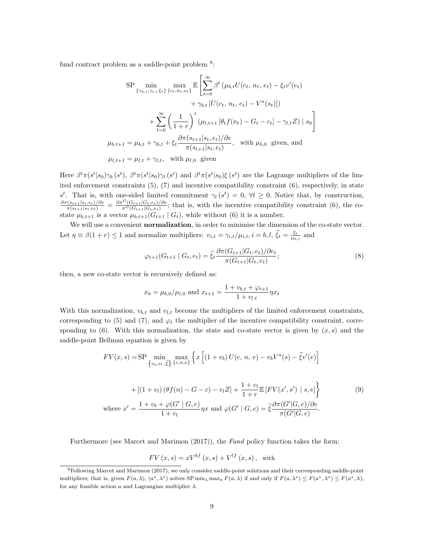fund contract problem as a saddle-point problem <sup>9</sup>:

$$
\text{SP} \min_{\{\gamma_{b,t}, \gamma_{l,t} \xi_t\}} \max_{\{c_t, n_t, e_t\}} \mathbb{E} \left[ \sum_{t=0}^{\infty} \beta^t \left( \mu_{b,t} U(c_t, n_t, e_t) - \xi_t v'(e_t) \right) \right. \\ \left. + \gamma_{b,t} \left[ U(c_t, n_t, e_t) - V^a(s_t) \right] \right) \\ \left. + \sum_{t=0}^{\infty} \left( \frac{1}{1+r} \right)^t \left( \mu_{l,t+1} \left[ \theta_t f(n_t) - G_t - c_t \right] - \gamma_{l,t} Z \right) \mid s_0 \right] \\ \mu_{b,t+1} = \mu_{b,t} + \gamma_{b,t} + \xi_t \frac{\partial \pi(s_{t+1}|s_t, e_t)/\partial e}{\pi(s_{t+1}|s_t, e_t)}, \quad \text{with } \mu_{b,0} \text{ given, and}
$$
\n
$$
\mu_{l,t+1} = \mu_{l,t} + \gamma_{l,t}, \quad \text{with } \mu_{l,0} \text{ given}
$$

Here  $\beta^t \pi(s^t | s_0) \gamma_b(s^t)$ ,  $\beta^t \pi(s^t | s_0) \gamma_l(s^t)$  and  $\beta^t \pi(s^t | s_0) \xi(s^t)$  are the Lagrange multipliers of the limited enforcement constraints (5), (7) and incentive compatibility constraint (6), respectively, in state s<sup>t</sup>. That is, with one-sided limited commitment  $\gamma_l(s^t) = 0$ ,  $\forall t \geq 0$ . Notice that, by construction,  $\frac{\partial \pi (s_{t+1}|s_t, e_t)/\partial e}{\pi (s_{t+1}|s_t, e_t)} = \frac{\partial \pi^G (G_{t+1}|G_t, e_t)/\partial e}{\pi^G (G_{t+1}|G_t, e_t)}$  $\frac{\Gamma(G_{t+1}|G_t,e_t)/\sigma e}{\pi^G(G_{t+1}|G_t,e_t)}$ ; that is, with the incentive compatibility constraint (6), the costate  $\mu_{b,t+1}$  is a vector  $\mu_{b,t+1}(G_{t+1} | G_t)$ , while without (6) it is a number.

We will use a convenient **normalization**, in order to minimise the dimension of the co-state vector. Let  $\eta \equiv \beta(1+r) \leq 1$  and normalize multipliers:  $v_{i,t} = \gamma_{i,t}/\mu_{i,t}$ ,  $i = b, l$ ,  $\tilde{\xi}_t = \frac{\xi_t}{\mu_{b,t}}$  and

$$
\varphi_{t+1}(G_{t+1} | G_t, e_t) = \tilde{\xi}_t \frac{\partial \pi(G_{t+1} | G_t, e_t) / \partial e_t}{\pi(G_{t+1} | G_t, e_t)};
$$
\n(8)

then, a new co-state vector is recursively defined as:

$$
x_0 = \mu_{b,0}/\mu_{l,0}
$$
 and  $x_{t+1} = \frac{1+v_{b,t} + \varphi_{t+1}}{1+v_{l,t}} \eta x_t$ 

With this normalization,  $v_{b,t}$  and  $v_{l,t}$  become the multipliers of the limited enforcement constraints, corresponding to (5) and (7), and  $\varphi_t$  the multiplier of the incentive compatibility constraint, corresponding to (6). With this normalization, the state and co-state vector is given by  $(x, s)$  and the saddle-point Bellman equation is given by

$$
FV(x,s) = \text{SP} \min_{\{v_b, v_l, \tilde{\xi}\}} \max_{\{c, n, e\}} \left\{ x \left[ (1 + v_b) U(c, n, e) - v_b V^a(s) - \tilde{\xi} v'(e) \right] \right\}
$$

$$
+ \left[ (1 + v_l) (\theta f(n) - G - c) - v_l Z \right] + \frac{1 + v_l}{1 + r} \mathbb{E} \left[ FV(x', s') \mid s, e \right] \right\}
$$

$$
\text{where } x' = \frac{1 + v_b + \varphi(G' \mid G, e)}{1 + v_l} \eta x \text{ and } \varphi(G' \mid G, e) = \tilde{\xi} \frac{\partial \pi(G' \mid G, e)}{\pi(G' \mid G, e)}.
$$

$$
(9)
$$

Furthermore (see Marcet and Marimon (2017)), the Fund policy function takes the form:

$$
FV(x,s) = xV^{bf}(x,s) + V^{lf}(x,s),
$$
 with

<sup>9</sup>Following Marcet and Marimon (2017), we only consider saddle-point solutions and their corresponding saddle-point multipliers; that is, given  $F(a,\lambda)$ ,  $(a^*,\lambda^*)$  solves SP min<sub> $\lambda$ </sub> max<sub>a</sub>  $F(a,\lambda)$  if and only if  $F(a,\lambda^*) \leq F(a^*,\lambda^*) \leq F(a^*,\lambda)$ , for any feasible action  $a$  and Lagrangian multiplier  $\lambda$ .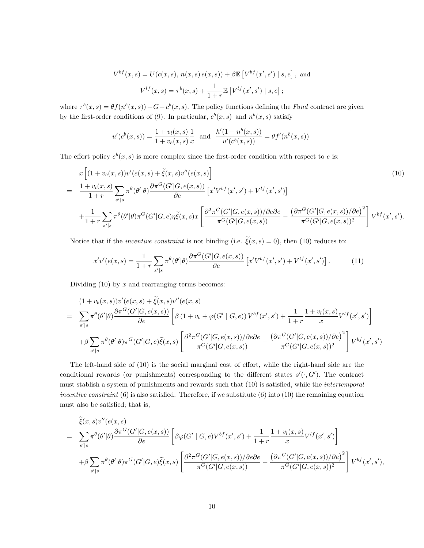$$
V^{bf}(x, s) = U(c(x, s), n(x, s) e(x, s)) + \beta \mathbb{E} [V^{bf}(x', s') | s, e], \text{ and}
$$

$$
V^{lf}(x, s) = \tau^{b}(x, s) + \frac{1}{1+r} \mathbb{E} [V^{lf}(x', s') | s, e];
$$

where  $\tau^{b}(x,s) = \theta f(n^{b}(x,s)) - G - c^{b}(x,s)$ . The policy functions defining the Fund contract are given by the first-order conditions of (9). In particular,  $c^b(x, s)$  and  $n^b(x, s)$  satisfy

$$
u'(c^{b}(x,s)) = \frac{1 + v_{l}(x,s)}{1 + v_{b}(x,s)} \frac{1}{x}
$$
 and 
$$
\frac{h'(1 - n^{b}(x,s))}{u'(c^{b}(x,s))} = \theta f'(n^{b}(x,s))
$$

The effort policy  $e^b(x, s)$  is more complex since the first-order condition with respect to e is:

$$
x\left[ (1+v_b(x,s))v'(e(x,s) + \tilde{\xi}(x,s)v''(e(x,s)) \right]
$$
\n
$$
= \frac{1+v_l(x,s)}{1+r} \sum_{s'|s} \pi^{\theta}(\theta'|\theta) \frac{\partial \pi^G(G'|G,e(x,s))}{\partial e} \left[ x'V^{bf}(x',s') + V^{lf}(x',s') \right]
$$
\n
$$
+ \frac{1}{1+r} \sum_{s'|s} \pi^{\theta}(\theta'|\theta) \pi^G(G'|G,e)\eta \tilde{\xi}(x,s)x \left[ \frac{\partial^2 \pi^G(G'|G,e(x,s))/\partial e}{\pi^G(G'|G,e(x,s))} - \frac{(\partial \pi^G(G'|G,e(x,s))/\partial e)^2}{\pi^G(G'|G,e(x,s))^2} \right] V^{bf}(x',s').
$$
\n(10)

Notice that if the *incentive constraint* is not binding (i.e.  $\tilde{\xi}(x, s) = 0$ ), then (10) reduces to:

$$
x'v'(e(x,s) = \frac{1}{1+r} \sum_{s'|s} \pi^{\theta}(\theta'|\theta) \frac{\partial \pi^G(G'|G, e(x,s))}{\partial e} \left[ x'V^{bf}(x',s') + V^{lf}(x',s') \right]. \tag{11}
$$

Dividing  $(10)$  by x and rearranging terms becomes:

$$
(1 + v_b(x, s))v'(e(x, s) + \tilde{\xi}(x, s)v''(e(x, s))
$$
\n
$$
= \sum_{s'|s} \pi^{\theta}(\theta'|\theta) \frac{\partial \pi^G(G'|G, e(x, s))}{\partial e} \left[ \beta (1 + v_b + \varphi(G' \mid G, e)) V^{bf}(x', s') + \frac{1}{1+r} \frac{1 + v_l(x, s)}{x} V^{lf}(x', s') \right]
$$
\n
$$
+ \beta \sum_{s'|s} \pi^{\theta}(\theta'|\theta) \pi^G(G'|G, e) \tilde{\xi}(x, s) \left[ \frac{\partial^2 \pi^G(G'|G, e(x, s))}{\pi^G(G'|G, e(x, s))} - \frac{(\partial \pi^G(G'|G, e(x, s))/\partial e)^2}{\pi^G(G'|G, e(x, s))^2} \right] V^{bf}(x', s')
$$

The left-hand side of (10) is the social marginal cost of effort, while the right-hand side are the conditional rewards (or punishments) corresponding to the different states  $s'(\cdot, G')$ . The contract must stablish a system of punishments and rewards such that (10) is satisfied, while the intertemporal incentive constraint  $(6)$  is also satisfied. Therefore, if we substitute  $(6)$  into  $(10)$  the remaining equation must also be satisfied; that is,

$$
\tilde{\xi}(x,s)v''(e(x,s)) = \sum_{s'|s} \pi^{\theta}(\theta'|\theta) \frac{\partial \pi^G(G'|G,e(x,s))}{\partial e} \left[ \beta \varphi(G'|G,e)V^{bf}(x',s') + \frac{1}{1+r} \frac{1+v_l(x,s)}{x} V^{lf}(x',s') \right] \n+ \beta \sum_{s'|s} \pi^{\theta}(\theta'|\theta) \pi^G(G'|G,e)\tilde{\xi}(x,s) \left[ \frac{\partial^2 \pi^G(G'|G,e(x,s))/\partial e \partial e}{\pi^G(G'|G,e(x,s))} - \frac{(\partial \pi^G(G'|G,e(x,s))/\partial e)^2}{\pi^G(G'|G,e(x,s))^2} \right] V^{bf}(x',s'),
$$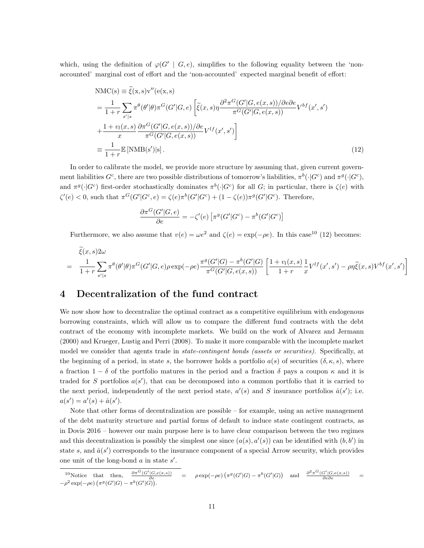which, using the definition of  $\varphi(G' | G, e)$ , simplifies to the following equality between the 'nonaccounted' marginal cost of effort and the 'non-accounted' expected marginal benefit of effort:

$$
NMC(s) \equiv \tilde{\xi}(x, s)v''(e(x, s))
$$
  
\n
$$
= \frac{1}{1+r} \sum_{s'|s} \pi^{\theta}(\theta'|\theta) \pi^{G}(G'|G, e) \left[ \tilde{\xi}(x, s) \eta \frac{\partial^{2} \pi^{G}(G'|G, e(x, s)) / \partial e \partial e}{\pi^{G}(G'|G, e(x, s))} V^{bf}(x', s') \right]
$$
  
\n
$$
+ \frac{1+v_{l}(x, s)}{x} \frac{\partial \pi^{G}(G'|G, e(x, s)) / \partial e}{\pi^{G}(G'|G, e(x, s))} V^{lf}(x', s') \right]
$$
  
\n
$$
\equiv \frac{1}{1+r} \mathbb{E}[NMB(s')|s].
$$
\n(12)

In order to calibrate the model, we provide more structure by assuming that, given current government liabilities  $G^c$ , there are two possible distributions of tomorrow's liabilities,  $\pi^b(\cdot|G^c)$  and  $\pi^g(\cdot|G^c)$ , and  $\pi^g(\cdot|G^c)$  first-order stochastically dominates  $\pi^b(\cdot|G^c)$  for all G; in particular, there is  $\zeta(e)$  with  $\zeta'(e) < 0$ , such that  $\pi^G(G'|G^c, e) = \zeta(e)\pi^b(G'|G^c) + (1 - \zeta(e))\pi^g(G'|G^c)$ . Therefore,

$$
\frac{\partial \pi^{G}(G'|G,e)}{\partial e} = -\zeta'(e) \left[ \pi^{g}(G'|G^c) - \pi^{b}(G'|G^c) \right]
$$

Furthermore, we also assume that  $v(e) = \omega e^2$  and  $\zeta(e) = \exp(-\rho e)$ . In this case<sup>10</sup> (12) becomes:

$$
\tilde{\xi}(x,s)2\omega
$$
\n
$$
= \frac{1}{1+r} \sum_{s'|s} \pi^{\theta}(\theta'|\theta)\pi^{G}(G'|G,e)\rho \exp(-\rho e) \frac{\pi^{g}(G'|G) - \pi^{b}(G'|G)}{\pi^{G}(G'|G,e(x,s))} \left[ \frac{1+v_{l}(x,s)}{1+r} \frac{1}{x} V^{lf}(x',s') - \rho \eta \tilde{\xi}(x,s) V^{bf}(x',s') \right]
$$

### 4 Decentralization of the fund contract

We now show how to decentralize the optimal contract as a competitive equilibrium with endogenous borrowing constraints, which will allow us to compare the different fund contracts with the debt contract of the economy with incomplete markets. We build on the work of Alvarez and Jermann (2000) and Krueger, Lustig and Perri (2008). To make it more comparable with the incomplete market model we consider that agents trade in *state-contingent bonds (assets or securities)*. Specifically, at the beginning of a period, in state s, the borrower holds a portfolio  $a(s)$  of securities  $(\delta, \kappa, s)$ , where a fraction  $1 - \delta$  of the portfolio matures in the period and a fraction  $\delta$  pays a coupon  $\kappa$  and it is traded for S portfolios  $a(s')$ , that can be decomposed into a common portfolio that it is carried to the next period, independently of the next period state,  $a'(s)$  and S insurance portfolios  $\hat{a}(s')$ ; i.e.  $a(s') = a'(s) + \hat{a}(s')$ .

Note that other forms of decentralization are possible – for example, using an active management of the debt maturity structure and partial forms of default to induce state contingent contracts, as in Dovis 2016 – however our main purpose here is to have clear comparison between the two regimes and this decentralization is possibly the simplest one since  $(a(s), a'(s))$  can be identified with  $(b, b')$  in state s, and  $\hat{a}(s')$  corresponds to the insurance component of a special Arrow security, which provides one unit of the long-bond  $a$  in state  $s'$ .

$$
{}^{10}\text{Notice that then, } \frac{\partial \pi^G(G'|G,e(x,s))}{\partial e} = \rho \exp(-\rho e) \left(\pi^g(G'|G) - \pi^b(G'|G)\right) \text{ and } \frac{\partial^2 \pi^G(G'|G,e(x,s))}{\partial e \partial e} = -\rho^2 \exp(-\rho e) \left(\pi^g(G'|G) - \pi^b(G'|G)\right).
$$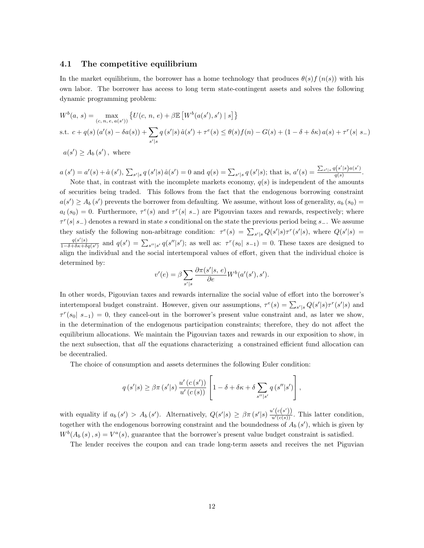#### 4.1 The competitive equilibrium

In the market equilibrium, the borrower has a home technology that produces  $\theta(s) f(n(s))$  with his own labor. The borrower has access to long term state-contingent assets and solves the following dynamic programming problem:

$$
W^{b}(a, s) = \max_{(c, n, e, a(s'))} \{ U(c, n, e) + \beta \mathbb{E} \left[ W^{b}(a(s'), s') \mid s \right] \}
$$
  
s.t.  $c + q(s) (a'(s) - \delta a(s)) + \sum_{s'|s} q(s'|s) \hat{a}(s') + \tau^{e}(s) \le \theta(s) f(n) - G(s) + (1 - \delta + \delta \kappa) a(s) + \tau^{r}(s|s -)$ 

 $a(s') \ge A_b(s')$ , where

 $a(s') = a'(s) + \hat{a}(s')$ ,  $\sum_{s'|s} q(s'|s) \hat{a}(s') = 0$  and  $q(s) = \sum_{s'|s} q(s'|s)$ ; that is,  $a'(s) = \frac{\sum_{s'|s} q(s'|s) a(s')}{q(s)}$  $\frac{q(s) - q(s)}{q(s)}$ . Note that, in contrast with the incomplete markets economy,  $q(s)$  is independent of the amounts

of securities being traded. This follows from the fact that the endogenous borrowing constraint  $a(s') \ge A_b(s')$  prevents the borrower from defaulting. We assume, without loss of generality,  $a_b(s_0)$  =  $a_l(s_0) = 0$ . Furthermore,  $\tau^e(s)$  and  $\tau^r(s \mid s_-)$  are Pigouvian taxes and rewards, respectively; where  $\tau^{r}(s | s_{-})$  denotes a reward in state s conditional on the state the previous period being s<sub>−</sub>. We assume they satisfy the following non-arbitrage condition:  $\tau^e(s) = \sum_{s'|s} Q(s'|s) \tau^r(s'|s)$ , where  $Q(s'|s)$  $q(s'|s)$  $\frac{q(s'|s)}{1-\delta+\delta\kappa+\delta q(s')}$  and  $q(s')=\sum_{s''|s'}q(s''|s')$ ; as well as:  $\tau^{r}(s_0|s_{-1})=0$ . These taxes are designed to align the individual and the social intertemporal values of effort, given that the individual choice is determined by:

$$
v'(e) = \beta \sum_{s'|s} \frac{\partial \pi(s'|s, e)}{\partial e} W^b(a'(s'), s').
$$

In other words, Pigouvian taxes and rewards internalize the social value of effort into the borrower's intertemporal budget constraint. However, given our assumptions,  $\tau^e(s) = \sum_{s'|s} Q(s'|s) \tau^r(s'|s)$  and  $\tau^{r}(s_0| s_{-1}) = 0$ , they cancel-out in the borrower's present value constraint and, as later we show, in the determination of the endogenous participation constraints; therefore, they do not affect the equilibrium allocations. We maintain the Pigouvian taxes and rewards in our exposition to show, in the next subsection, that all the equations characterizing a constrained efficient fund allocation can be decentralied.

The choice of consumption and assets determines the following Euler condition:

$$
q(s' | s) \geq \beta \pi (s' | s) \frac{u'(c(s'))}{u'(c(s))} \left[ 1 - \delta + \delta \kappa + \delta \sum_{s'' | s'} q(s'' | s') \right],
$$

with equality if  $a_b(s') > A_b(s')$ . Alternatively,  $Q(s'|s) \geq \beta \pi (s'|s) \frac{u'(c(s'))}{u'(c(s))}$ . This latter condition, together with the endogenous borrowing constraint and the boundedness of  $A_b(s')$ , which is given by  $W^{b}(A_{b}(s), s) = V^{a}(s)$ , guarantee that the borrower's present value budget constraint is satisfied.

The lender receives the coupon and can trade long-term assets and receives the net Piguvian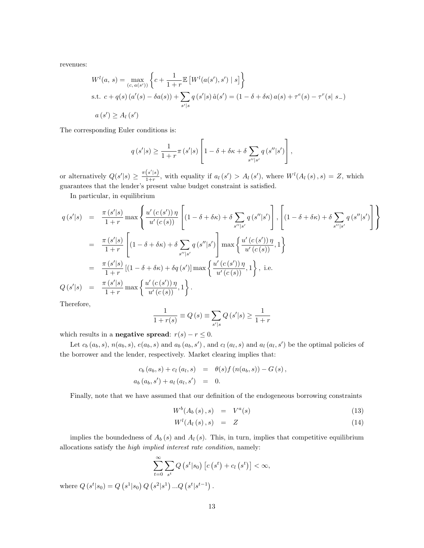revenues:

$$
W^{l}(a, s) = \max_{(c, a(s'))} \left\{ c + \frac{1}{1+r} \mathbb{E} \left[ W^{l}(a(s'), s') \mid s \right] \right\}
$$
  
s.t.  $c + q(s) (a'(s) - \delta a(s)) + \sum_{s'|s} q(s'|s) \hat{a}(s') = (1 - \delta + \delta \kappa) a(s) + \tau^{e}(s) - \tau^{r}(s|s-)$   
 $a(s') \ge A_{l}(s')$ 

The corresponding Euler conditions is:

$$
q(s' | s) \ge \frac{1}{1+r} \pi(s' | s) \left[ 1 - \delta + \delta \kappa + \delta \sum_{s'' | s'} q(s'' | s') \right],
$$

or alternatively  $Q(s'|s) \geq \frac{\pi(s'|s)}{1+r}$  $\frac{(s|s)}{1+r}$ , with equality if  $a_l(s') > A_l(s')$ , where  $W^l(A_l(s), s) = Z$ , which guarantees that the lender's present value budget constraint is satisfied.

In particular, in equilibrium

$$
q(s'|s) = \frac{\pi (s'|s)}{1+r} \max \left\{ \frac{u'(c(s'))\eta}{u'(c(s))} \left[ (1 - \delta + \delta \kappa) + \delta \sum_{s''|s'} q(s''|s') \right], \left[ (1 - \delta + \delta \kappa) + \delta \sum_{s''|s'} q(s''|s') \right] \right\}
$$
  

$$
= \frac{\pi (s'|s)}{1+r} \left[ (1 - \delta + \delta \kappa) + \delta \sum_{s''|s'} q(s''|s') \right] \max \left\{ \frac{u'(c(s'))\eta}{u'(c(s))}, 1 \right\}
$$
  

$$
= \frac{\pi (s'|s)}{1+r} \left[ (1 - \delta + \delta \kappa) + \delta q(s') \right] \max \left\{ \frac{u'(c(s'))\eta}{u'(c(s))}, 1 \right\}, \text{ i.e.}
$$
  

$$
Q(s'|s) = \frac{\pi (s'|s)}{1+r} \max \left\{ \frac{u'(c(s'))\eta}{u'(c(s))}, 1 \right\}.
$$

Therefore,

$$
\frac{1}{1+r(s)} \equiv Q(s) \equiv \sum_{s'|s} Q(s'|s) \ge \frac{1}{1+r}
$$

which results in a **negative spread**:  $r(s) - r \leq 0$ .

Let  $c_b(a_b, s)$ ,  $n(a_b, s)$ ,  $e(a_b, s)$  and  $a_b(a_b, s')$ , and  $c_l(a_l, s)$  and  $a_l(a_l, s')$  be the optimal policies of the borrower and the lender, respectively. Market clearing implies that:

$$
c_b(a_b, s) + c_l(a_l, s) = \theta(s) f(n(a_b, s)) - G(s),
$$
  
\n
$$
a_b(a_b, s') + a_l(a_l, s') = 0.
$$

Finally, note that we have assumed that our definition of the endogeneous borrowing constraints

$$
W^{b}(A_{b}(s), s) = V^{a}(s) \qquad (13)
$$

$$
W^{l}(A_{l}(s), s) = Z \tag{14}
$$

implies the boundedness of  $A_b(s)$  and  $A_l(s)$ . This, in turn, implies that competitive equilibrium allocations satisfy the high implied interest rate condition, namely:

$$
\sum_{t=0}^{\infty} \sum_{s^t} Q\left(s^t | s_0\right) \left[c\left(s^t\right) + c_l\left(s^t\right)\right] < \infty,
$$
\n
$$
\left(s^2 | s^1\right) \dots O\left(s^t | s^{t-1}\right).
$$

where  $Q(s^t|s_0) = Q(s^1|s_0) Q(s^2|s^1) ... Q(s^t|s^{t-1})$ .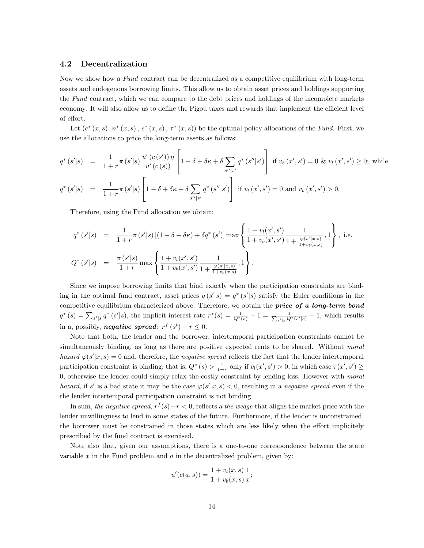#### 4.2 Decentralization

Now we show how a Fund contract can be decentralized as a competitive equilibrium with long-term assets and endogenous borrowing limits. This allow us to obtain asset prices and holdings supporting the Fund contract, which we can compare to the debt prices and holdings of the incomplete markets economy. It will also allow us to define the Pigou taxes and rewards that implement the efficient level of effort.

Let  $(c^*(x, s), n^*(x, s), e^*(x, s), \tau^*(x, s))$  be the optimal policy allocations of the Fund. First, we use the allocations to price the long-term assets as follows:

$$
q^* (s'|s) = \frac{1}{1+r} \pi (s'|s) \frac{u'(c(s'))\eta}{u'(c(s))} \left[ 1 - \delta + \delta \kappa + \delta \sum_{s''|s'} q^* (s''|s') \right] \text{ if } v_b (x', s') = 0 \& v_l (x', s') \ge 0; \text{ while}
$$
  

$$
q^* (s'|s) = \frac{1}{1+r} \pi (s'|s) \left[ 1 - \delta + \delta \kappa + \delta \sum_{s''|s'} q^* (s''|s') \right] \text{ if } v_l (x', s') = 0 \text{ and } v_b (x', s') > 0.
$$

Therefore, using the Fund allocation we obtain:

$$
q^* (s'|s) = \frac{1}{1+r} \pi (s'|s) \left[ (1-\delta+\delta\kappa) + \delta q^* (s') \right] \max \left\{ \frac{1+v_l(x',s')}{1+v_b(x',s')} \frac{1}{1+\frac{\varphi(s'|x,s)}{1+v_b(x,s)}}, 1 \right\}, \text{ i.e.}
$$
  

$$
Q^* (s'|s) = \frac{\pi (s'|s)}{1+r} \max \left\{ \frac{1+v_l(x',s')}{1+v_b(x',s')} \frac{1}{1+\frac{\varphi(s'|x,s)}{1+v_b(x,s)}}, 1 \right\}.
$$

Since we impose borrowing limits that bind exactly when the participation constraints are binding in the optimal fund contract, asset prices  $q(s'|s) = q^*(s'|s)$  satisfy the Euler conditions in the competitive equilibrium characterized above. Therefore, we obtain the **price of a long-term bond**  $q^*(s) = \sum_{s'|s} q^*(s'|s)$ , the implicit interest rate  $r^*(s) = \frac{1}{Q^*(s)} - 1 = \frac{1}{\sum_{s'|s} Q^*(s'|s)} - 1$ , which results in a, possibly, **negative spread**:  $r^f(s^t) - r \leq 0$ .

Note that both, the lender and the borrower, intertemporal participation constraints cannot be simultaneously binding, as long as there are positive expected rents to be shared. Without moral hazard  $\varphi(s'|x,s) = 0$  and, therefore, the negative spread reflects the fact that the lender intertemporal participation constraint is binding; that is,  $Q^*(s) > \frac{1}{1+r}$  only if  $v_l(x', s') > 0$ , in which case  $\tau(x', s') \geq$ 0, otherwise the lender could simply relax the costly constraint by lending less. However with moral hazard, if s' is a bad state it may be the case  $\varphi(s'|x, s) < 0$ , resulting in a negative spread even if the the lender intertemporal participation constraint is not binding

In sum, the negative spread,  $r^f(s) - r < 0$ , reflects a the wedge that aligns the market price with the lender unwillingness to lend in some states of the future. Furthermore, if the lender is unconstrained, the borrower must be constrained in those states which are less likely when the effort implicitely prescribed by the fund contract is exercised.

Note also that, given our assumptions, there is a one-to-one correspondence between the state variable  $x$  in the Fund problem and  $a$  in the decentralized problem, given by:

$$
u'(c(a, s)) = \frac{1 + v_l(x, s)}{1 + v_b(x, s)} \frac{1}{x};
$$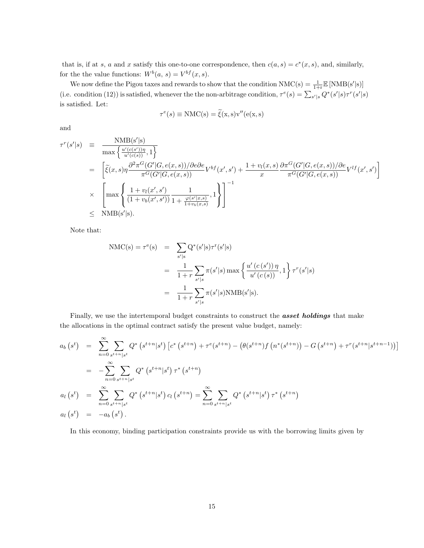that is, if at s, a and x satisfy this one-to-one correspondence, then  $c(a, s) = c^*(x, s)$ , and, similarly, for the the value functions:  $W^b(a, s) = V^{bf}(x, s)$ .

We now define the Pigou taxes and rewards to show that the condition  $NMC(s) = \frac{1}{1+r} \mathbb{E}[NMB(s'|s)]$ (i.e. condition (12)) is satisfied, whenever the the non-arbitrage condition,  $\tau^{e}(s) = \sum_{s'|s} Q^{*}(s'|s) \tau^{r}(s'|s)$ is satisfied. Let:

$$
\tau^{e}(s) \equiv \text{NMC}(s) = \tilde{\xi}(x, s)v''(e(x, s))
$$

and

$$
\tau^{r}(s'|s) = \frac{\text{NMB}(s'|s)}{\max\left\{\frac{u'(c(s'))\eta}{u'(c(s))}, 1\right\}} \n= \left[\tilde{\xi}(x, s)\eta \frac{\partial^{2}\pi^{G}(G'|G, e(x, s))/\partial e\partial e}{\pi^{G}(G'|G, e(x, s))}V^{bf}(x', s') + \frac{1 + v_{l}(x, s)}{x} \frac{\partial\pi^{G}(G'|G, e(x, s))/\partial e}{\pi^{G}(G'|G, e(x, s))}V^{lf}(x', s')\right] \n\times \left[\max\left\{\frac{1 + v_{l}(x', s')}{(1 + v_{b}(x', s'))}\frac{1}{1 + \frac{\varphi(s'|x, s)}{1 + v_{b}(x, s)}}, 1\right\}\right]^{-1} \n\le \text{NMB}(s'|s).
$$

Note that:

$$
NMC(s) = \tau^{e}(s) = \sum_{s'|s} Q^{*}(s'|s)\tau^{r}(s'|s)
$$
  
= 
$$
\frac{1}{1+r} \sum_{s'|s} \pi(s'|s) \max \left\{ \frac{u'(c(s')) \eta}{u'(c(s))}, 1 \right\} \tau^{r}(s'|s)
$$
  
= 
$$
\frac{1}{1+r} \sum_{s'|s} \pi(s'|s) NMB(s'|s).
$$

Finally, we use the intertemporal budget constraints to construct the **asset holdings** that make the allocations in the optimal contract satisfy the present value budget, namely:

$$
a_{b}(s^{t}) = \sum_{n=0}^{\infty} \sum_{s^{t+n}|s^{t}} Q^{*}(s^{t+n}|s^{t}) [c^{*}(s^{t+n}) + \tau^{e}(s^{t+n}) - (\theta(s^{t+n})f(n^{*}(s^{t+n})) - G(s^{t+n}) + \tau^{r}(s^{t+n}|s^{t+n-1}))]
$$
  
\n
$$
= -\sum_{n=0}^{\infty} \sum_{s^{t+n}|s^{t}} Q^{*}(s^{t+n}|s^{t}) \tau^{*}(s^{t+n})
$$
  
\n
$$
a_{l}(s^{t}) = \sum_{n=0}^{\infty} \sum_{s^{t+n}|s^{t}} Q^{*}(s^{t+n}|s^{t}) c_{l}(s^{t+n}) = \sum_{n=0}^{\infty} \sum_{s^{t+n}|s^{t}} Q^{*}(s^{t+n}|s^{t}) \tau^{*}(s^{t+n})
$$
  
\n
$$
a_{l}(s^{t}) = -a_{b}(s^{t}).
$$

In this economy, binding participation constraints provide us with the borrowing limits given by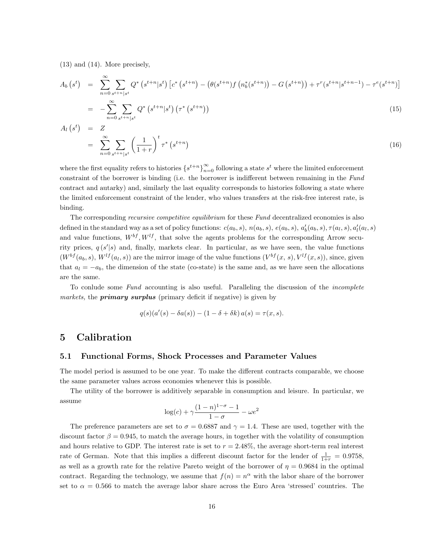(13) and (14). More precisely,

$$
A_b (s^t) = \sum_{n=0}^{\infty} \sum_{s^{t+n}|s^t} Q^* \left(s^{t+n}|s^t\right) \left[c^* \left(s^{t+n}\right) - \left(\theta(s^{t+n})f\left(n_b^*(s^{t+n})\right) - G\left(s^{t+n}\right)\right) + \tau^r(s^{t+n}|s^{t+n-1}) - \tau^e(s^{t+n})\right]
$$
  
= 
$$
-\sum_{n=0}^{\infty} \sum_{s \in \mathbb{Z}^+} Q^* \left(s^{t+n}|s^t\right) \left(\tau^* \left(s^{t+n}\right)\right)
$$
(15)

$$
= -\sum_{n=0}^{\infty} \sum_{s^{t+n}|s^t} Q^* \left( s^{t+n} |s^t \right) \left( \tau^* \left( s^{t+n} \right) \right) \tag{15}
$$

$$
A_l(s^t) = Z
$$
  
= 
$$
\sum_{n=0}^{\infty} \sum_{s^{t+n}|s^t} \left(\frac{1}{1+r}\right)^t \tau^* \left(s^{t+n}\right)
$$
 (16)

where the first equality refers to histories  $\{s^{t+n}\}_{n=0}^{\infty}$  following a state  $s^t$  where the limited enforcement constraint of the borrower is binding (i.e. the borrower is indifferent between remaining in the Fund contract and autarky) and, similarly the last equality corresponds to histories following a state where the limited enforcement constraint of the lender, who values transfers at the risk-free interest rate, is binding.

The corresponding *recursive competitive equilibrium* for these Fund decentralized economies is also defined in the standard way as a set of policy functions:  $c(a_b, s)$ ,  $n(a_b, s)$ ,  $e(a_b, s)$ ,  $a'_b(a_b, s)$ ,  $\tau(a_l, s)$ ,  $a'_l(a_l, s)$ and value functions,  $W^{bf}$ ,  $W^{lf}$ , that solve the agents problems for the corresponding Arrow security prices,  $q(s'|s)$  and, finally, markets clear. In particular, as we have seen, the value functions  $(W^{bf}(a_b, s), W^{lf}(a_l, s))$  are the mirror image of the value functions  $(V^{bf}(x, s), V^{lf}(x, s))$ , since, given that  $a_l = -a_b$ , the dimension of the state (co-state) is the same and, as we have seen the allocations are the same.

To conlude some Fund accounting is also useful. Paralleling the discussion of the incomplete markets, the **primary surplus** (primary deficit if negative) is given by

$$
q(s)(a'(s) - \delta a(s)) - (1 - \delta + \delta k) a(s) = \tau(x, s).
$$

### 5 Calibration

#### 5.1 Functional Forms, Shock Processes and Parameter Values

The model period is assumed to be one year. To make the different contracts comparable, we choose the same parameter values across economies whenever this is possible.

The utility of the borrower is additively separable in consumption and leisure. In particular, we assume

$$
\log(c) + \gamma \frac{(1-n)^{1-\sigma} - 1}{1-\sigma} - \omega e^2
$$

The preference parameters are set to  $\sigma = 0.6887$  and  $\gamma = 1.4$ . These are used, together with the discount factor  $\beta = 0.945$ , to match the average hours, in together with the volatility of consumption and hours relative to GDP. The interest rate is set to  $r = 2.48\%$ , the average short-term real interest rate of German. Note that this implies a different discount factor for the lender of  $\frac{1}{1+r} = 0.9758$ , as well as a growth rate for the relative Pareto weight of the borrower of  $\eta = 0.9684$  in the optimal contract. Regarding the technology, we assume that  $f(n) = n^{\alpha}$  with the labor share of the borrower set to  $\alpha = 0.566$  to match the average labor share across the Euro Area 'stressed' countries. The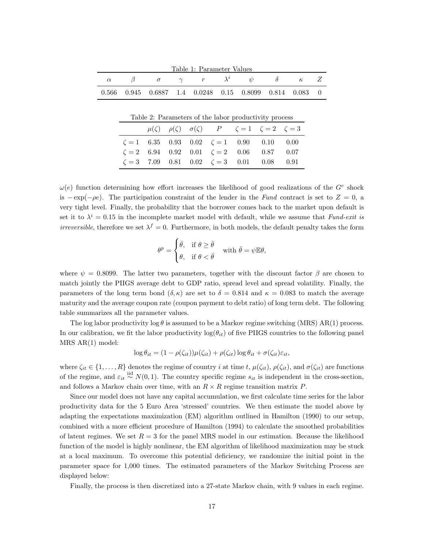| Table 1: Parameter Values |   |          |  |                                    |  |                                                                                    |          |                                                         |  |
|---------------------------|---|----------|--|------------------------------------|--|------------------------------------------------------------------------------------|----------|---------------------------------------------------------|--|
| $\alpha$                  | В | $\sigma$ |  | $\gamma \qquad r \qquad \lambda^i$ |  | $\psi$                                                                             | $\delta$ | $\kappa$                                                |  |
| 0.566                     |   |          |  |                                    |  |                                                                                    |          | $0.945$ $0.6887$ 1.4 $0.0248$ 0.15 0.8099 0.814 0.083 0 |  |
|                           |   |          |  |                                    |  |                                                                                    |          |                                                         |  |
|                           |   |          |  |                                    |  | Table 2: Parameters of the labor productivity process                              |          |                                                         |  |
|                           |   |          |  |                                    |  | $\mu(\zeta)$ $\rho(\zeta)$ $\sigma(\zeta)$ $P$ $\zeta = 1$ $\zeta = 2$ $\zeta = 3$ |          |                                                         |  |
|                           |   |          |  |                                    |  | $\zeta = 1$ 6.35 0.93 0.02 $\zeta = 1$ 0.90 0.10                                   |          | 0.00                                                    |  |
|                           |   |          |  |                                    |  | $\zeta = 2$ 6.94 0.92 0.01 $\zeta = 2$ 0.06 0.87                                   |          | 0.07                                                    |  |

 $\omega(e)$  function determining how effort increases the likelihood of good realizations of the  $G<sup>c</sup>$  shock is  $-\exp(-\rho e)$ . The participation constraint of the lender in the Fund contract is set to  $Z = 0$ , a very tight level. Finally, the probability that the borrower comes back to the market upon default is set it to  $\lambda^{i} = 0.15$  in the incomplete market model with default, while we assume that Fund-exit is *irreversible*, therefore we set  $\lambda^f = 0$ . Furthermore, in both models, the default penalty takes the form

 $\zeta = 3$  7.09 0.81 0.02  $\zeta = 3$  0.01 0.08 0.91

$$
\theta^p = \begin{cases} \bar{\theta}, & \text{if } \theta \geq \bar{\theta} \\ \theta, & \text{if } \theta < \bar{\theta} \end{cases} \quad \text{with } \bar{\theta} = \psi \mathbb{E} \theta,
$$

where  $\psi = 0.8099$ . The latter two parameters, together with the discount factor  $\beta$  are chosen to match jointly the PIIGS average debt to GDP ratio, spread level and spread volatility. Finally, the parameters of the long term bond  $(\delta, \kappa)$  are set to  $\delta = 0.814$  and  $\kappa = 0.083$  to match the average maturity and the average coupon rate (coupon payment to debt ratio) of long term debt. The following table summarizes all the parameter values.

The log labor productivity log  $\theta$  is assumed to be a Markov regime switching (MRS) AR(1) process. In our calibration, we fit the labor productivity  $log(\theta_{it})$  of five PIIGS countries to the following panel MRS AR(1) model:

$$
\log \theta_{it} = (1 - \rho(\zeta_{it})) \mu(\zeta_{it}) + \rho(\zeta_{it}) \log \theta_{it} + \sigma(\zeta_{it}) \varepsilon_{it},
$$

where  $\zeta_{it} \in \{1, ..., R\}$  denotes the regime of country i at time t,  $\mu(\zeta_{it}), \rho(\zeta_{it}),$  and  $\sigma(\zeta_{it})$  are functions of the regime, and  $\varepsilon_{it} \stackrel{\text{iid}}{\sim} N(0, 1)$ . The country specific regime  $s_{it}$  is independent in the cross-section, and follows a Markov chain over time, with an  $R \times R$  regime transition matrix P.

Since our model does not have any capital accumulation, we first calculate time series for the labor productivity data for the 5 Euro Area 'stressed' countries. We then estimate the model above by adapting the expectations maximization (EM) algorithm outlined in Hamilton (1990) to our setup, combined with a more efficient procedure of Hamilton (1994) to calculate the smoothed probabilities of latent regimes. We set  $R = 3$  for the panel MRS model in our estimation. Because the likelihood function of the model is highly nonlinear, the EM algorithm of likelihood maximization may be stuck at a local maximum. To overcome this potential deficiency, we randomize the initial point in the parameter space for 1,000 times. The estimated parameters of the Markov Switching Process are displayed below:

Finally, the process is then discretized into a 27-state Markov chain, with 9 values in each regime.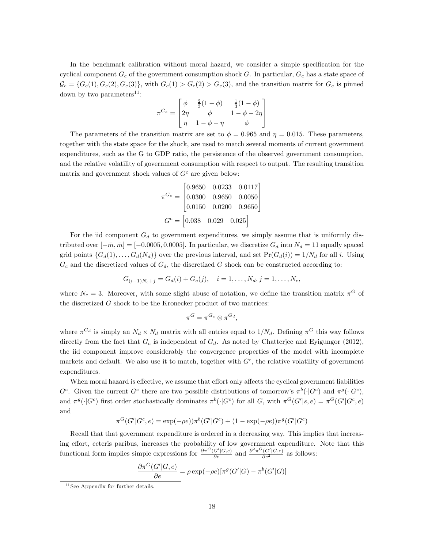In the benchmark calibration without moral hazard, we consider a simple specification for the cyclical component  $G_c$  of the government consumption shock G. In particular,  $G_c$  has a state space of  $\mathcal{G}_c = \{G_c(1), G_c(2), G_c(3)\}\$ , with  $G_c(1) > G_c(2) > G_c(3)$ , and the transition matrix for  $G_c$  is pinned down by two parameters<sup>11</sup>:

$$
\pi^{G_c} = \begin{bmatrix} \phi & \frac{2}{3}(1-\phi) & \frac{1}{3}(1-\phi) \\ 2\eta & \phi & 1-\phi-2\eta \\ \eta & 1-\phi-\eta & \phi \end{bmatrix}
$$

The parameters of the transition matrix are set to  $\phi = 0.965$  and  $\eta = 0.015$ . These parameters, together with the state space for the shock, are used to match several moments of current government expenditures, such as the G to GDP ratio, the persistence of the observed government consumption, and the relative volatility of government consumption with respect to output. The resulting transition matrix and government shock values of  $G<sup>c</sup>$  are given below:

$$
\pi^{G_c} = \begin{bmatrix} 0.9650 & 0.0233 & 0.0117 \\ 0.0300 & 0.9650 & 0.0050 \\ 0.0150 & 0.0200 & 0.9650 \end{bmatrix}
$$

$$
G^c = \begin{bmatrix} 0.038 & 0.029 & 0.025 \end{bmatrix}
$$

For the iid component  $G_d$  to government expenditures, we simply assume that is uniformly distributed over  $[-\bar{m}, \bar{m}] = [-0.0005, 0.0005]$ . In particular, we discretize  $G_d$  into  $N_d = 11$  equally spaced grid points  $\{G_d(1), \ldots, G_d(N_d)\}\$  over the previous interval, and set  $Pr(G_d(i)) = 1/N_d$  for all i. Using  $G_c$  and the discretized values of  $G_d$ , the discretized G shock can be constructed according to:

$$
G_{(i-1)N_c+j} = G_d(i) + G_c(j), \quad i = 1, \dots, N_d, j = 1, \dots, N_c,
$$

where  $N_c = 3$ . Moreover, with some slight abuse of notation, we define the transition matrix  $\pi^G$  of the discretized G shock to be the Kronecker product of two matrices:

$$
\pi^G = \pi^{G_c} \otimes \pi^{G_d},
$$

where  $\pi^{G_d}$  is simply an  $N_d \times N_d$  matrix with all entries equal to  $1/N_d$ . Defining  $\pi^G$  this way follows directly from the fact that  $G_c$  is independent of  $G_d$ . As noted by Chatterjee and Eyigungor (2012), the iid component improve considerably the convergence properties of the model with incomplete markets and default. We also use it to match, together with  $G<sup>c</sup>$ , the relative volatility of government expenditures.

When moral hazard is effective, we assume that effort only affects the cyclical government liabilities  $G^c$ . Given the current  $G^c$  there are two possible distributions of tomorrow's  $\pi^b(\cdot|G^c)$  and  $\pi^g(\cdot|G^c)$ , and  $\pi^g(\cdot|G^c)$  first order stochastically dominates  $\pi^b(\cdot|G^c)$  for all G, with  $\pi^G(G'|s, e) = \pi^G(G'|G^c, e)$ and

$$
\pi^{G}(G'|G^{c},e) = \exp(-\rho e))\pi^{b}(G'|G^{c}) + (1 - \exp(-\rho e))\pi^{g}(G'|G^{c})
$$

Recall that that government expenditure is ordered in a decreasing way. This implies that increasing effort, ceteris paribus, increases the probability of low government expenditure. Note that this functional form implies simple expressions for  $\frac{\partial \pi^G(G'|G,e)}{\partial e}$  and  $\frac{\partial^2 \pi^G(G'|G,e)}{\partial e^2}$  as follows:

$$
\frac{\partial \pi^{G}(G'|G,e)}{\partial e} = \rho \exp(-\rho e) [\pi^{g}(G'|G) - \pi^{b}(G'|G)]
$$

<sup>11</sup>See Appendix for further details.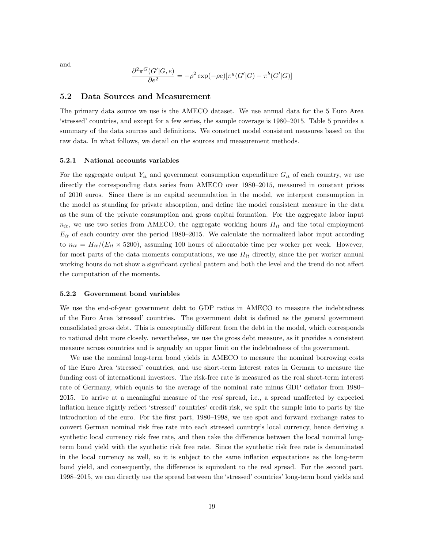and

$$
\frac{\partial^2 \pi^G(G'|G,e)}{\partial e^2} = -\rho^2 \exp(-\rho e) [\pi^g(G'|G) - \pi^b(G'|G)]
$$

#### 5.2 Data Sources and Measurement

The primary data source we use is the AMECO dataset. We use annual data for the 5 Euro Area 'stressed' countries, and except for a few series, the sample coverage is 1980–2015. Table 5 provides a summary of the data sources and definitions. We construct model consistent measures based on the raw data. In what follows, we detail on the sources and measurement methods.

#### 5.2.1 National accounts variables

For the aggregate output  $Y_{it}$  and government consumption expenditure  $G_{it}$  of each country, we use directly the corresponding data series from AMECO over 1980–2015, measured in constant prices of 2010 euros. Since there is no capital accumulation in the model, we interpret consumption in the model as standing for private absorption, and define the model consistent measure in the data as the sum of the private consumption and gross capital formation. For the aggregate labor input  $n_{it}$ , we use two series from AMECO, the aggregate working hours  $H_{it}$  and the total employment  $E_{it}$  of each country over the period 1980–2015. We calculate the normalized labor input according to  $n_{it} = H_{it}/(E_{it} \times 5200)$ , assuming 100 hours of allocatable time per worker per week. However, for most parts of the data moments computations, we use  $H_{it}$  directly, since the per worker annual working hours do not show a significant cyclical pattern and both the level and the trend do not affect the computation of the moments.

#### 5.2.2 Government bond variables

We use the end-of-year government debt to GDP ratios in AMECO to measure the indebtedness of the Euro Area 'stressed' countries. The government debt is defined as the general government consolidated gross debt. This is conceptually different from the debt in the model, which corresponds to national debt more closely. nevertheless, we use the gross debt measure, as it provides a consistent measure across countries and is arguably an upper limit on the indebtedness of the government.

We use the nominal long-term bond yields in AMECO to measure the nominal borrowing costs of the Euro Area 'stressed' countries, and use short-term interest rates in German to measure the funding cost of international investors. The risk-free rate is measured as the real short-term interest rate of Germany, which equals to the average of the nominal rate minus GDP deflator from 1980– 2015. To arrive at a meaningful measure of the real spread, i.e., a spread unaffected by expected inflation hence rightly reflect 'stressed' countries' credit risk, we split the sample into to parts by the introduction of the euro. For the first part, 1980–1998, we use spot and forward exchange rates to convert German nominal risk free rate into each stressed country's local currency, hence deriving a synthetic local currency risk free rate, and then take the difference between the local nominal longterm bond yield with the synthetic risk free rate. Since the synthetic risk free rate is denominated in the local currency as well, so it is subject to the same inflation expectations as the long-term bond yield, and consequently, the difference is equivalent to the real spread. For the second part, 1998–2015, we can directly use the spread between the 'stressed' countries' long-term bond yields and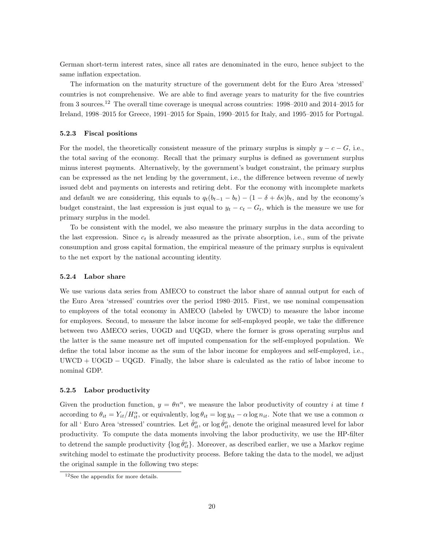German short-term interest rates, since all rates are denominated in the euro, hence subject to the same inflation expectation.

The information on the maturity structure of the government debt for the Euro Area 'stressed' countries is not comprehensive. We are able to find average years to maturity for the five countries from 3 sources.<sup>12</sup> The overall time coverage is unequal across countries: 1998–2010 and 2014–2015 for Ireland, 1998–2015 for Greece, 1991–2015 for Spain, 1990–2015 for Italy, and 1995–2015 for Portugal.

#### 5.2.3 Fiscal positions

For the model, the theoretically consistent measure of the primary surplus is simply  $y - c - G$ , i.e., the total saving of the economy. Recall that the primary surplus is defined as government surplus minus interest payments. Alternatively, by the government's budget constraint, the primary surplus can be expressed as the net lending by the government, i.e., the difference between revenue of newly issued debt and payments on interests and retiring debt. For the economy with incomplete markets and default we are considering, this equals to  $q_t(b_{t-1} - b_t) - (1 - \delta + \delta \kappa)b_t$ , and by the economy's budget constraint, the last expression is just equal to  $y_t - c_t - G_t$ , which is the measure we use for primary surplus in the model.

To be consistent with the model, we also measure the primary surplus in the data according to the last expression. Since  $c_t$  is already measured as the private absorption, i.e., sum of the private consumption and gross capital formation, the empirical measure of the primary surplus is equivalent to the net export by the national accounting identity.

#### 5.2.4 Labor share

We use various data series from AMECO to construct the labor share of annual output for each of the Euro Area 'stressed' countries over the period 1980–2015. First, we use nominal compensation to employees of the total economy in AMECO (labeled by UWCD) to measure the labor income for employees. Second, to measure the labor income for self-employed people, we take the difference between two AMECO series, UOGD and UQGD, where the former is gross operating surplus and the latter is the same measure net off imputed compensation for the self-employed population. We define the total labor income as the sum of the labor income for employees and self-employed, i.e.,  $UWCD + UOGD - UQGD$ . Finally, the labor share is calculated as the ratio of labor income to nominal GDP.

#### 5.2.5 Labor productivity

Given the production function,  $y = \theta n^{\alpha}$ , we measure the labor productivity of country i at time t according to  $\theta_{it} = Y_{it}/H_{it}^{\alpha}$ , or equivalently,  $\log \theta_{it} = \log y_{it} - \alpha \log n_{it}$ . Note that we use a common  $\alpha$ for all ' Euro Area 'stressed' countries. Let  $\hat{\theta}_{it}^o$ , or  $\log \hat{\theta}_{it}^o$ , denote the original measured level for labor productivity. To compute the data moments involving the labor productivity, we use the HP-filter to detrend the sample productivity  $\{\log \hat{\theta}_{it}^o\}$ . Moreover, as described earlier, we use a Markov regime switching model to estimate the productivity process. Before taking the data to the model, we adjust the original sample in the following two steps:

<sup>12</sup>See the appendix for more details.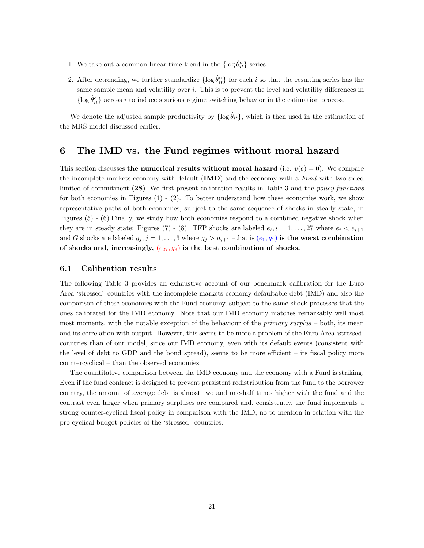- 1. We take out a common linear time trend in the  $\{\log \hat{\theta}_{it}^o\}$  series.
- 2. After detrending, we further standardize  $\{\log \hat{\theta}_{it}^o\}$  for each i so that the resulting series has the same sample mean and volatility over  $i$ . This is to prevent the level and volatility differences in  $\{\log \hat{\theta}_{it}^o\}$  across i to induce spurious regime switching behavior in the estimation process.

We denote the adjusted sample productivity by  $\{\log \hat{\theta}_{it}\}\$ , which is then used in the estimation of the MRS model discussed earlier.

### 6 The IMD vs. the Fund regimes without moral hazard

This section discusses the numerical results without moral hazard (i.e.  $v(e) = 0$ ). We compare the incomplete markets economy with default (IMD) and the economy with a Fund with two sided limited of commitment (2S). We first present calibration results in Table 3 and the policy functions for both economies in Figures  $(1) - (2)$ . To better understand how these economies work, we show representative paths of both economies, subject to the same sequence of shocks in steady state, in Figures (5) - (6).Finally, we study how both economies respond to a combined negative shock when they are in steady state: Figures (7) - (8). TFP shocks are labeled  $e_i$ ,  $i = 1, \ldots, 27$  where  $e_i < e_{i+1}$ and G shocks are labeled  $g_j$ ,  $j = 1, ..., 3$  where  $g_j > g_{j+1}$  –that is  $(e_1, g_1)$  is the worst combination of shocks and, increasingly,  $(e_{27}, g_3)$  is the best combination of shocks.

#### 6.1 Calibration results

The following Table 3 provides an exhaustive account of our benchmark calibration for the Euro Area 'stressed' countries with the incomplete markets economy defaultable debt (IMD) and also the comparison of these economies with the Fund economy, subject to the same shock processes that the ones calibrated for the IMD economy. Note that our IMD economy matches remarkably well most most moments, with the notable exception of the behaviour of the *primary surplus* – both, its mean and its correlation with output. However, this seems to be more a problem of the Euro Area 'stressed' countries than of our model, since our IMD economy, even with its default events (consistent with the level of debt to GDP and the bond spread), seems to be more efficient – its fiscal policy more countercyclical – than the observed economies.

The quantitative comparison between the IMD economy and the economy with a Fund is striking. Even if the fund contract is designed to prevent persistent redistribution from the fund to the borrower country, the amount of average debt is almost two and one-half times higher with the fund and the contrast even larger when primary surpluses are compared and, consistently, the fund implements a strong counter-cyclical fiscal policy in comparison with the IMD, no to mention in relation with the pro-cyclical budget policies of the 'stressed' countries.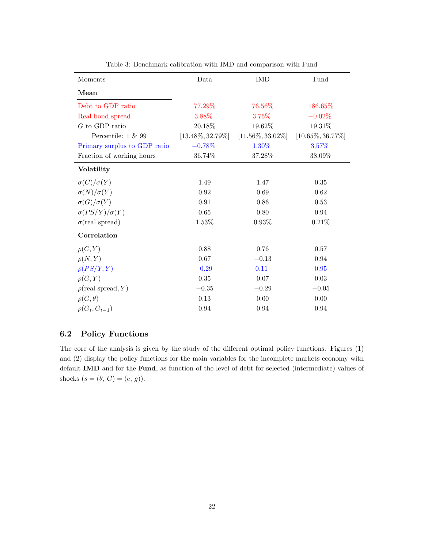| Moments                      | Data                 | <b>IMD</b>           | Fund                 |  |
|------------------------------|----------------------|----------------------|----------------------|--|
| Mean                         |                      |                      |                      |  |
| Debt to GDP ratio            | 77.29%               | 76.56%               | 186.65%              |  |
| Real bond spread             | 3.88%                | 3.76%                | $-0.02\%$            |  |
| $G$ to GDP ratio             | 20.18%               | 19.62%               | 19.31%               |  |
| Percentile: $1 \& 99$        | $[13.48\%, 32.79\%]$ | $[11.56\%, 33.02\%]$ | $[10.65\%, 36.77\%]$ |  |
| Primary surplus to GDP ratio | $-0.78\%$            | 1.30%                | 3.57%                |  |
| Fraction of working hours    | 36.74%               | 37.28%               | 38.09%               |  |
| Volatility                   |                      |                      |                      |  |
| $\sigma(C)/\sigma(Y)$        | 1.49                 | 1.47                 | 0.35                 |  |
| $\sigma(N)/\sigma(Y)$        | 0.92                 | 0.69                 | 0.62                 |  |
| $\sigma(G)/\sigma(Y)$        | 0.91                 | 0.86                 | 0.53                 |  |
| $\sigma(PS/Y)/\sigma(Y)$     | 0.65                 | 0.80                 | 0.94                 |  |
| $\sigma$ (real spread)       | 1.53%                | $0.93\%$             | $0.21\%$             |  |
| Correlation                  |                      |                      |                      |  |
| $\rho(C, Y)$                 | 0.88                 | 0.76                 | 0.57                 |  |
| $\rho(N,Y)$                  | 0.67                 | $-0.13$              | 0.94                 |  |
| $\rho(PS/Y,Y)$               | $-0.29$              | 0.11                 | 0.95                 |  |
| $\rho(G,Y)$                  | $0.35\,$             | 0.07                 | 0.03                 |  |
| $\rho$ (real spread, Y)      | $-0.35$              | $-0.29$              | $-0.05$              |  |
| $\rho(G,\theta)$             | 0.13                 | 0.00                 | 0.00                 |  |
| $\rho(G_t, G_{t-1})$         | 0.94                 | 0.94                 | 0.94                 |  |

Table 3: Benchmark calibration with IMD and comparison with Fund

### 6.2 Policy Functions

The core of the analysis is given by the study of the different optimal policy functions. Figures (1) and (2) display the policy functions for the main variables for the incomplete markets economy with default IMD and for the Fund, as function of the level of debt for selected (intermediate) values of shocks  $(s=(\theta,\,G)=(e,\,g)).$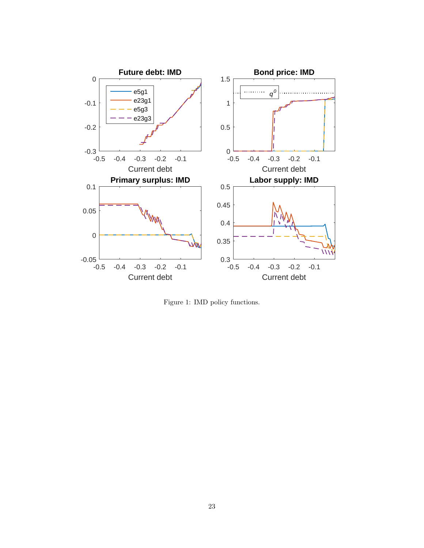

Figure 1: IMD policy functions.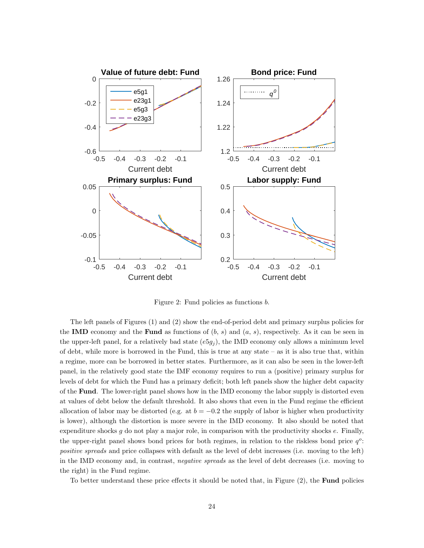

Figure 2: Fund policies as functions b.

The left panels of Figures (1) and (2) show the end-of-period debt and primary surplus policies for the IMD economy and the Fund as functions of  $(b, s)$  and  $(a, s)$ , respectively. As it can be seen in the upper-left panel, for a relatively bad state  $(e5g_j)$ , the IMD economy only allows a minimum level of debt, while more is borrowed in the Fund, this is true at any state – as it is also true that, within a regime, more can be borrowed in better states. Furthermore, as it can also be seen in the lower-left panel, in the relatively good state the IMF economy requires to run a (positive) primary surplus for levels of debt for which the Fund has a primary deficit; both left panels show the higher debt capacity of the Fund. The lower-right panel shows how in the IMD economy the labor supply is distorted even at values of debt below the default threshold. It also shows that even in the Fund regime the efficient allocation of labor may be distorted (e.g. at  $b = -0.2$  the supply of labor is higher when productivity is lower), although the distortion is more severe in the IMD economy. It also should be noted that expenditure shocks  $q$  do not play a major role, in comparison with the productivity shocks  $e$ . Finally, the upper-right panel shows bond prices for both regimes, in relation to the riskless bond price  $q^o$ : positive spreads and price collapses with default as the level of debt increases (i.e. moving to the left) in the IMD economy and, in contrast, negative spreads as the level of debt decreases (i.e. moving to the right) in the Fund regime.

To better understand these price effects it should be noted that, in Figure  $(2)$ , the **Fund** policies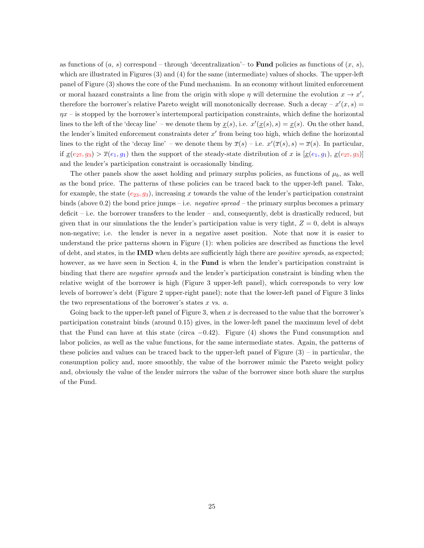as functions of  $(a, s)$  correspond – through 'decentralization'– to **Fund** policies as functions of  $(x, s)$ , which are illustrated in Figures (3) and (4) for the same (intermediate) values of shocks. The upper-left panel of Figure (3) shows the core of the Fund mechanism. In an economy without limited enforcement or moral hazard constraints a line from the origin with slope  $\eta$  will determine the evolution  $x \to x'$ , therefore the borrower's relative Pareto weight will monotonically decrease. Such a decay –  $x'(x, s)$  =  $\eta x$  – is stopped by the borrower's intertemporal participation constraints, which define the horizontal lines to the left of the 'decay line' – we denote them by  $\underline{x}(s)$ , i.e.  $x'(\underline{x}(s), s) = \underline{x}(s)$ . On the other hand, the lender's limited enforcement constraints deter  $x'$  from being too high, which define the horizontal lines to the right of the 'decay line' – we denote them by  $\overline{x}(s)$  – i.e.  $x'(\overline{x}(s), s) = \overline{x}(s)$ . In particular, if  $\underline{x}(e_{27}, g_3) > \overline{x}(e_1, g_1)$  then the support of the steady-state distribution of x is  $[\underline{x}(e_1, g_1), \underline{x}(e_{27}, g_3)]$ and the lender's participation constraint is occasionally binding.

The other panels show the asset holding and primary surplus policies, as functions of  $\mu_b$ , as well as the bond price. The patterns of these policies can be traced back to the upper-left panel. Take, for example, the state  $(e_{23}, g_3)$ , increasing x towards the value of the lender's participation constraint binds (above 0.2) the bond price jumps – i.e. negative spread – the primary surplus becomes a primary deficit – i.e. the borrower transfers to the lender – and, consequently, debt is drastically reduced, but given that in our simulations the the lender's participation value is very tight,  $Z = 0$ , debt is always non-negative; i.e. the lender is never in a negative asset position. Note that now it is easier to understand the price patterns shown in Figure (1): when policies are described as functions the level of debt, and states, in the **IMD** when debts are sufficiently high there are *positive spreads*, as expected; however, as we have seen in Section 4, in the **Fund** is when the lender's participation constraint is binding that there are negative spreads and the lender's participation constraint is binding when the relative weight of the borrower is high (Figure 3 upper-left panel), which corresponds to very low levels of borrower's debt (Figure 2 upper-right panel); note that the lower-left panel of Figure 3 links the two representations of the borrower's states x vs.  $a$ .

Going back to the upper-left panel of Figure 3, when  $x$  is decreased to the value that the borrower's participation constraint binds (around 0.15) gives, in the lower-left panel the maximum level of debt that the Fund can have at this state (circa  $-0.42$ ). Figure (4) shows the Fund consumption and labor policies, as well as the value functions, for the same intermediate states. Again, the patterns of these policies and values can be traced back to the upper-left panel of Figure  $(3)$  – in particular, the consumption policy and, more smoothly, the value of the borrower mimic the Pareto weight policy and, obviously the value of the lender mirrors the value of the borrower since both share the surplus of the Fund.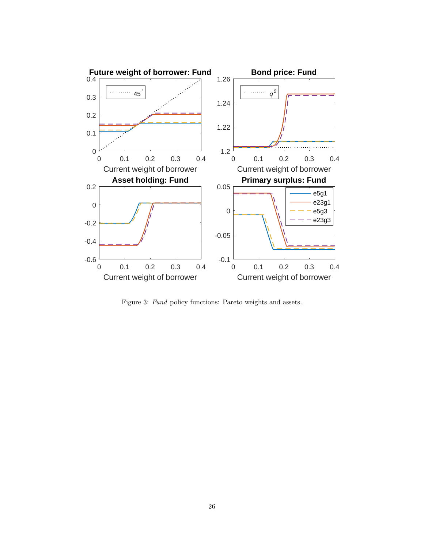

Figure 3: Fund policy functions: Pareto weights and assets.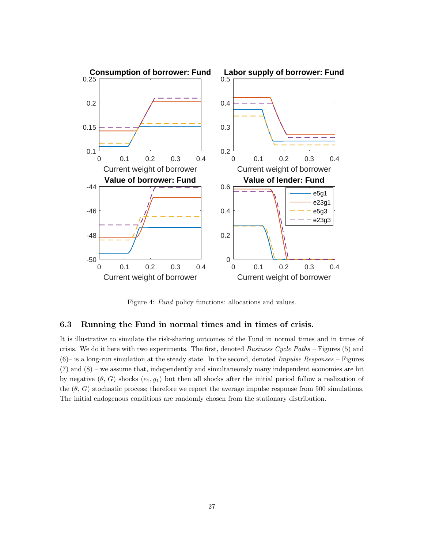

Figure 4: Fund policy functions: allocations and values.

#### 6.3 Running the Fund in normal times and in times of crisis.

It is illustrative to simulate the risk-sharing outcomes of the Fund in normal times and in times of crisis. We do it here with two experiments. The first, denoted Business Cycle Paths – Figures (5) and  $(6)$ – is a long-run simulation at the steady state. In the second, denoted *Impulse Responses* – Figures (7) and (8) – we assume that, independently and simultaneously many independent economies are hit by negative  $(\theta, G)$  shocks  $(e_1, g_1)$  but then all shocks after the initial period follow a realization of the  $(\theta, G)$  stochastic process; therefore we report the average impulse response from 500 simulations. The initial endogenous conditions are randomly chosen from the stationary distribution.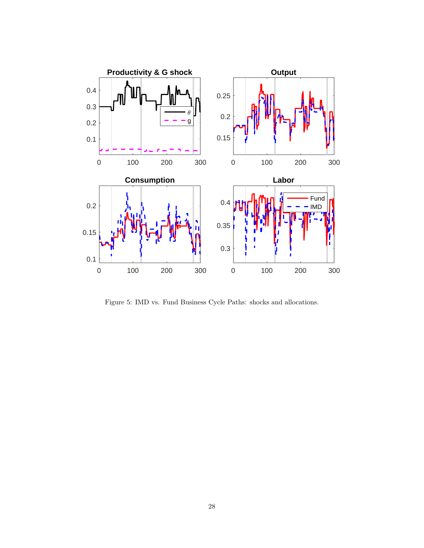

Figure 5: IMD vs. Fund Business Cycle Paths: shocks and allocations.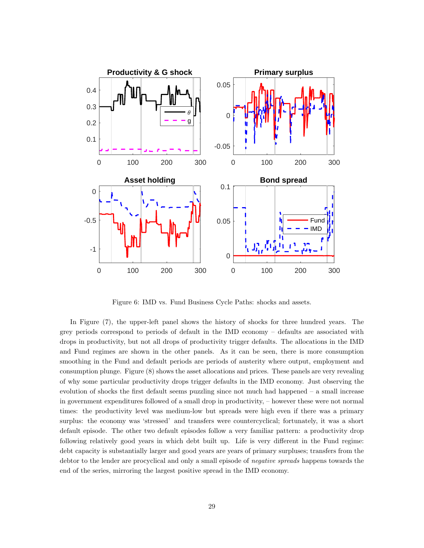

Figure 6: IMD vs. Fund Business Cycle Paths: shocks and assets.

In Figure (7), the upper-left panel shows the history of shocks for three hundred years. The grey periods correspond to periods of default in the IMD economy – defaults are associated with drops in productivity, but not all drops of productivity trigger defaults. The allocations in the IMD and Fund regimes are shown in the other panels. As it can be seen, there is more consumption smoothing in the Fund and default periods are periods of austerity where output, employment and consumption plunge. Figure (8) shows the asset allocations and prices. These panels are very revealing of why some particular productivity drops trigger defaults in the IMD economy. Just observing the evolution of shocks the first default seems puzzling since not much had happened – a small increase in government expenditures followed of a small drop in productivity, – however these were not normal times: the productivity level was medium-low but spreads were high even if there was a primary surplus: the economy was 'stressed' and transfers were countercyclical; fortunately, it was a short default episode. The other two default episodes follow a very familiar pattern: a productivity drop following relatively good years in which debt built up. Life is very different in the Fund regime: debt capacity is substantially larger and good years are years of primary surpluses; transfers from the debtor to the lender are procyclical and only a small episode of *negative spreads* happens towards the end of the series, mirroring the largest positive spread in the IMD economy.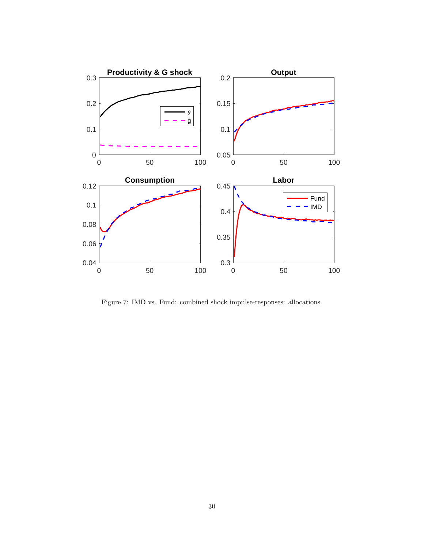

Figure 7: IMD vs. Fund: combined shock impulse-responses: allocations.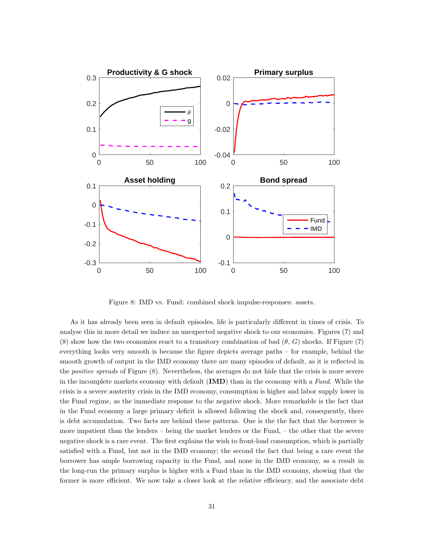

Figure 8: IMD vs. Fund: combined shock impulse-responses: assets.

As it has already been seen in default episodes, life is particularly different in times of crisis. To analyse this in more detail we induce an unexpected negative shock to our economies. Figures (7) and (8) show how the two economies react to a transitory combination of bad  $(\theta, G)$  shocks. If Figure (7) everything looks very smooth is because the figure depicts average paths – for example, behind the smooth growth of output in the IMD economy there are many episodes of default, as it is reflected in the positive spreads of Figure (8). Nevertheless, the averages do not hide that the crisis is more severe in the incomplete markets economy with default (IMD) than in the economy with a Fund. While the crisis is a severe austerity crisis in the IMD economy, consumption is higher and labor supply lower in the Fund regime, as the immediate response to the negative shock. More remarkable is the fact that in the Fund economy a large primary deficit is allowed following the shock and, consequently, there is debt accumulation. Two facts are behind these patterns. One is the the fact that the borrower is more impatient than the lenders – being the market lenders or the Fund, – the other that the severe negative shock is a rare event. The first explains the wish to front-load consumption, which is partially satisfied with a Fund, but not in the IMD economy; the second the fact that being a rare event the borrower has ample borrowing capacity in the Fund, and none in the IMD economy, as a result in the long-run the primary surplus is higher with a Fund than in the IMD economy, showing that the former is more efficient. We now take a closer look at the relative efficiency, and the associate debt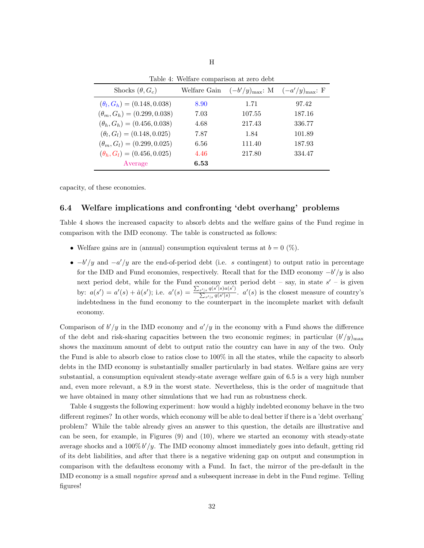| Shocks $(\theta, G_c)$             | Welfare Gain | $(-b'/y)_{\text{max}}$ : M $(-a'/y)_{\text{max}}$ : F |        |
|------------------------------------|--------------|-------------------------------------------------------|--------|
| $(\theta_l, G_h) = (0.148, 0.038)$ | 8.90         | 1.71                                                  | 97.42  |
| $(\theta_m, G_h) = (0.299, 0.038)$ | 7.03         | 107.55                                                | 187.16 |
| $(\theta_h, G_h) = (0.456, 0.038)$ | 4.68         | 217.43                                                | 336.77 |
| $(\theta_l, G_l) = (0.148, 0.025)$ | 7.87         | 1.84                                                  | 101.89 |
| $(\theta_m, G_l) = (0.299, 0.025)$ | 6.56         | 111.40                                                | 187.93 |
| $(\theta_h, G_l) = (0.456, 0.025)$ | 4.46         | 217.80                                                | 334.47 |
| Average                            | 6.53         |                                                       |        |

Table 4: Welfare comparison at zero debt

H

capacity, of these economies.

#### 6.4 Welfare implications and confronting 'debt overhang' problems

Table 4 shows the increased capacity to absorb debts and the welfare gains of the Fund regime in comparison with the IMD economy. The table is constructed as follows:

- Welfare gains are in (annual) consumption equivalent terms at  $b = 0 \ (\%)$ .
- $-b'/y$  and  $-a'/y$  are the end-of-period debt (i.e. s contingent) to output ratio in percentage for the IMD and Fund economies, respectively. Recall that for the IMD economy  $-b'/y$  is also next period debt, while for the Fund economy next period debt  $-$  say, in state  $s'$   $-$  is given by:  $a(s') = a'(s) + \hat{a}(s')$ ; i.e.  $a'(s) = \frac{\sum_{s'|s} q(s'')\hat{a}(s')}{\sum_{s'} q(s'')\hat{a}(s')}$  $\frac{s'|s}{\sum_{s'|s} q(s'|s)}$ .  $a'(s)$  is the closest measure of country's indebtedness in the fund economy to the counterpart in the incomplete market with default economy.

Comparison of  $b'/y$  in the IMD economy and  $a'/y$  in the economy with a Fund shows the difference of the debt and risk-sharing capacities between the two economic regimes; in particular  $(b'/y)_{\text{max}}$ shows the maximum amount of debt to output ratio the country can have in any of the two. Only the Fund is able to absorb close to ratios close to 100% in all the states, while the capacity to absorb debts in the IMD economy is substantially smaller particularly in bad states. Welfare gains are very substantial, a consumption equivalent steady-state average welfare gain of 6.5 is a very high number and, even more relevant, a 8.9 in the worst state. Nevertheless, this is the order of magnitude that we have obtained in many other simulations that we had run as robustness check.

Table 4 suggests the following experiment: how would a highly indebted economy behave in the two different regimes? In other words, which economy will be able to deal better if there is a 'debt overhang' problem? While the table already gives an answer to this question, the details are illustrative and can be seen, for example, in Figures (9) and (10), where we started an economy with steady-state average shocks and a  $100\% b'/y$ . The IMD economy almost immediately goes into default, getting rid of its debt liabilities, and after that there is a negative widening gap on output and consumption in comparison with the defaultess economy with a Fund. In fact, the mirror of the pre-default in the IMD economy is a small negative spread and a subsequent increase in debt in the Fund regime. Telling figures!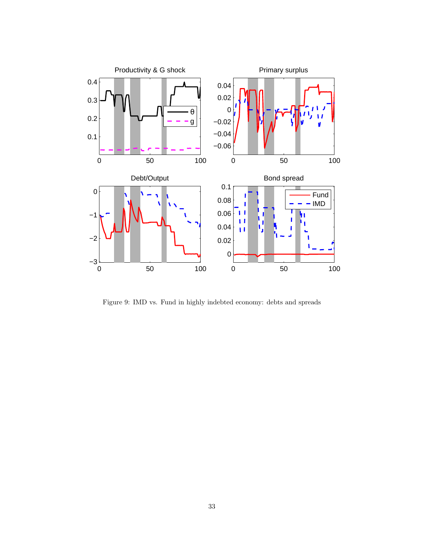

Figure 9: IMD vs. Fund in highly indebted economy: debts and spreads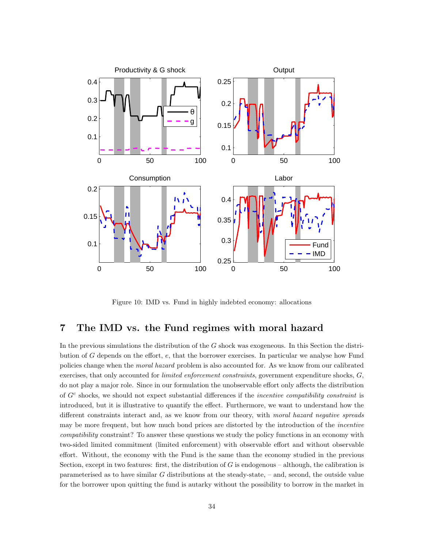

Figure 10: IMD vs. Fund in highly indebted economy: allocations

### 7 The IMD vs. the Fund regimes with moral hazard

In the previous simulations the distribution of the G shock was exogeneous. In this Section the distribution of G depends on the effort, e, that the borrower exercises. In particular we analyse how Fund policies change when the moral hazard problem is also accounted for. As we know from our calibrated exercises, that only accounted for *limited enforcement constraints*, government expenditure shocks, G, do not play a major role. Since in our formulation the unobservable effort only affects the distribution of  $G<sup>c</sup>$  shocks, we should not expect substantial differences if the *incentive compatibility constraint* is introduced, but it is illustrative to quantify the effect. Furthermore, we want to understand how the different constraints interact and, as we know from our theory, with moral hazard negative spreads may be more frequent, but how much bond prices are distorted by the introduction of the *incentive* compatibility constraint? To answer these questions we study the policy functions in an economy with two-sided limited commitment (limited enforcement) with observable effort and without observable effort. Without, the economy with the Fund is the same than the economy studied in the previous Section, except in two features: first, the distribution of  $G$  is endogenous – although, the calibration is parameterised as to have similar G distributions at the steady-state, – and, second, the outside value for the borrower upon quitting the fund is autarky without the possibility to borrow in the market in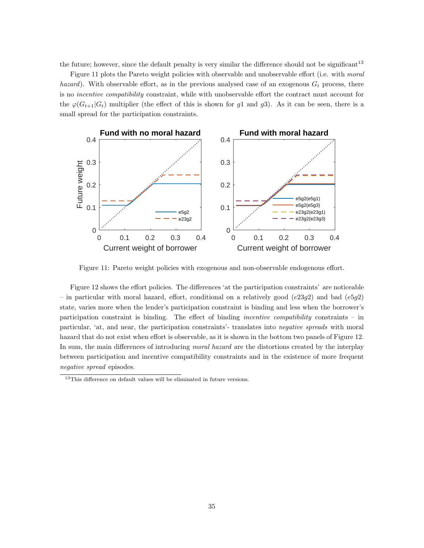the future; however, since the default penalty is very similar the difference should not be significant<sup>13</sup>

Figure 11 plots the Pareto weight policies with observable and unobservable effort (i.e. with *moral* hazard). With observable effort, as in the previous analysed case of an exogenous  $G_t$  process, there is no incentive compatibility constraint, while with unobservable effort the contract must account for the  $\varphi(G_{t+1}|G_t)$  multiplier (the effect of this is shown for g1 and g3). As it can be seen, there is a small spread for the participation constraints.



Figure 11: Pareto weight policies with exogenous and non-observable endogenous effort.

Figure 12 shows the effort policies. The differences 'at the participation constraints' are noticeable – in particular with moral hazard, effort, conditional on a relatively good  $(e23g2)$  and bad  $(e5g2)$ state, varies more when the lender's participation constraint is binding and less when the borrower's participation constraint is binding. The effect of binding incentive compatibility constraints – in particular, 'at, and near, the participation constraints'- translates into negative spreads with moral hazard that do not exist when effort is observable, as it is shown in the bottom two panels of Figure 12. In sum, the main differences of introducing *moral hazard* are the distortions created by the interplay between participation and incentive compatibility constraints and in the existence of more frequent negative spread episodes.

 $^{13}\mathrm{This}$  difference on default values will be eliminated in future versions.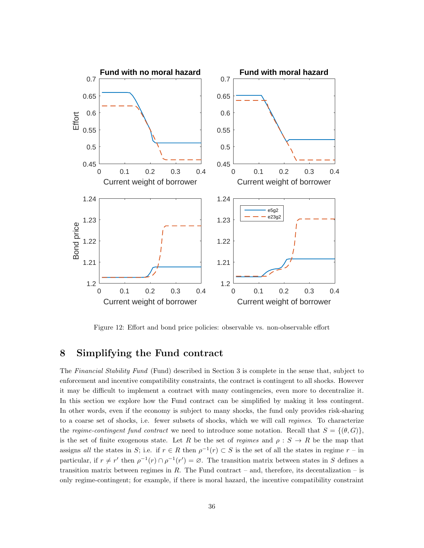

Figure 12: Effort and bond price policies: observable vs. non-observable effort

### 8 Simplifying the Fund contract

The Financial Stability Fund (Fund) described in Section 3 is complete in the sense that, subject to enforcement and incentive compatibility constraints, the contract is contingent to all shocks. However it may be difficult to implement a contract with many contingencies, even more to decentralize it. In this section we explore how the Fund contract can be simplified by making it less contingent. In other words, even if the economy is subject to many shocks, the fund only provides risk-sharing to a coarse set of shocks, i.e. fewer subsets of shocks, which we will call regimes. To characterize the regime-contingent fund contract we need to introduce some notation. Recall that  $S = \{(\theta, G)\}\$ , is the set of finite exogenous state. Let R be the set of regimes and  $\rho : S \to R$  be the map that assigns all the states in S; i.e. if  $r \in R$  then  $\rho^{-1}(r) \subset S$  is the set of all the states in regime  $r -$  in particular, if  $r \neq r'$  then  $\rho^{-1}(r) \cap \rho^{-1}(r') = \emptyset$ . The transition matrix between states in S defines a transition matrix between regimes in  $R$ . The Fund contract – and, therefore, its decentalization – is only regime-contingent; for example, if there is moral hazard, the incentive compatibility constraint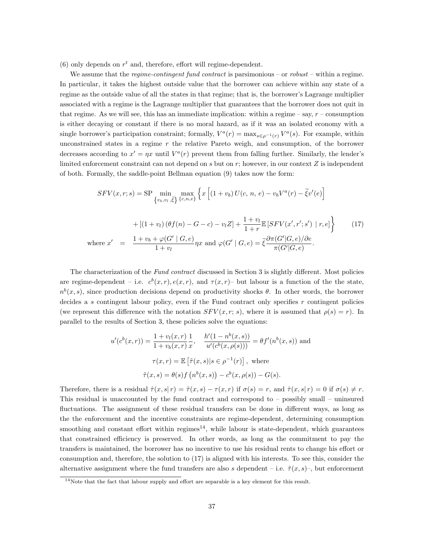(6) only depends on  $r^t$  and, therefore, effort will regime-dependent.

We assume that the *regime-contingent fund contract* is parsimonious – or *robust* – within a regime. In particular, it takes the highest outside value that the borrower can achieve within any state of a regime as the outside value of all the states in that regime; that is, the borrower's Lagrange multiplier associated with a regime is the Lagrange multiplier that guarantees that the borrower does not quit in that regime. As we will see, this has an immediate implication: within a regime – say,  $r$  – consumption is either decaying or constant if there is no moral hazard, as if it was an isolated economy with a single borrower's participation constraint; formally,  $V^a(r) = \max_{s \in \rho^{-1}(r)} V^a(s)$ . For example, within unconstrained states in a regime r the relative Pareto weigh, and consumption, of the borrower decreases according to  $x' = \eta x$  until  $V^a(r)$  prevent them from falling further. Similarly, the lender's limited enforcement constraint can not depend on  $s$  but on  $r$ ; however, in our context  $Z$  is independent of both. Formally, the saddle-point Bellman equation (9) takes now the form:

$$
SFV(x, r; s) = \text{SP} \min_{\{v_b, v_l, \hat{\xi}\}} \max_{\{c, n, e\}} \left\{ x \left[ (1 + v_b) U(c, n, e) - v_b V^a(r) - \tilde{\xi} v'(e) \right] \right\}
$$

$$
+ \left[ (1 + v_l) (\theta f(n) - G - c) - v_l Z \right] + \frac{1 + v_l}{1 + r} \mathbb{E} \left[ SFV(x', r'; s') \mid r, e \right] \right\}
$$
(17)  
where  $x' = \frac{1 + v_b + \varphi(G' \mid G, e)}{1 + v_l} \eta x$  and  $\varphi(G' \mid G, e) = \tilde{\xi} \frac{\partial \pi(G' \mid G, e)}{\pi(G' \mid G, e)}.$ 

The characterization of the Fund contract discussed in Section 3 is slightly different. Most policies are regime-dependent – i.e.  $c^b(x,r), e(x,r)$ , and  $\tau(x,r)$ – but labour is a function of the the state,  $n^{b}(x, s)$ , since production decisions depend on productivity shocks  $\theta$ . In other words, the borrower decides a s contingent labour policy, even if the Fund contract only specifies r contingent policies (we represent this difference with the notation  $SFV(x, r; s)$ , where it is assumed that  $\rho(s) = r$ ). In parallel to the results of Section 3, these policies solve the equations:

$$
u'(c^{b}(x,r)) = \frac{1 + v_{l}(x,r)}{1 + v_{b}(x,r)} \frac{1}{x}, \quad \frac{h'(1 - n^{b}(x,s))}{u'(c^{b}(x,\rho(s)))} = \theta f'(n^{b}(x,s)) \text{ and}
$$

$$
\tau(x,r) = \mathbb{E}\left[\tilde{\tau}(x,s)|s \in \rho^{-1}(r)\right], \text{ where}
$$

$$
\tilde{\tau}(x,s) = \theta(s)f(n^{b}(x,s)) - c^{b}(x,\rho(s)) - G(s).
$$

Therefore, there is a residual  $\hat{\tau}(x, s|r) = \tilde{\tau}(x, s) - \tau(x, r)$  if  $\sigma(s) = r$ , and  $\hat{\tau}(x, s|r) = 0$  if  $\sigma(s) \neq r$ . This residual is unaccounted by the fund contract and correspond to – possibly small – uninsured fluctuations. The assignment of these residual transfers can be done in different ways, as long as the the enforcement and the incentive constraints are regime-dependent, determining consumption smoothing and constant effort within regimes $^{14}$ , while labour is state-dependent, which guarantees that constrained efficiency is preserved. In other words, as long as the commitment to pay the transfers is maintained, the borrower has no incentive to use his residual rents to change his effort or consumption and, therefore, the solution to (17) is aligned with his interests. To see this, consider the alternative assignment where the fund transfers are also s dependent – i.e.  $\tilde{\tau}(x, s)$ –, but enforcement

<sup>14</sup>Note that the fact that labour supply and effort are separable is a key element for this result.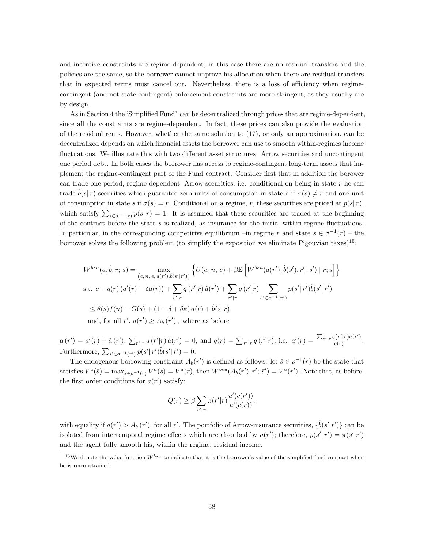and incentive constraints are regime-dependent, in this case there are no residual transfers and the policies are the same, so the borrower cannot improve his allocation when there are residual transfers that in expected terms must cancel out. Nevertheless, there is a loss of efficiency when regimecontingent (and not state-contingent) enforcement constraints are more stringent, as they usually are by design.

As in Section 4 the 'Simplified Fund' can be decentralized through prices that are regime-dependent, since all the constraints are regime-dependent. In fact, these prices can also provide the evaluation of the residual rents. However, whether the same solution to (17), or only an approximation, can be decentralized depends on which financial assets the borrower can use to smooth within-regimes income fluctuations. We illustrate this with two different asset structures: Arrow securities and uncontingent one period debt. In both cases the borrower has access to regime-contingent long-term assets that implement the regime-contingent part of the Fund contract. Consider first that in addition the borower can trade one-period, regime-dependent, Arrow securities; i.e. conditional on being in state  $r$  he can trade  $\tilde{b}(s|r)$  securities which guarantee zero units of consumption in state  $\tilde{s}$  if  $\sigma(\tilde{s}) \neq r$  and one unit of consumption in state s if  $\sigma(s) = r$ . Conditional on a regime, r, these securities are priced at  $p(s|r)$ , which satisfy  $\sum_{s\in\sigma^{-1}(r)} p(s|r) = 1$ . It is assumed that these securities are traded at the beginning of the contract before the state s is realized, as insurance for the initial within-regime fluctuations. In particular, in the corresponding competitive equilibrium –in regime r and state  $s \in \sigma^{-1}(r)$  – the borrower solves the following problem (to simplify the exposition we eliminate Pigouvian taxes)<sup>15</sup>:

$$
W^{bsu}(a, \hat{b}, r; s) = \max_{(c, n, e, a(r'), \hat{b}(s'|r'))} \left\{ U(c, n, e) + \beta \mathbb{E} \left[ W^{bsu}(a(r'), \hat{b}(s'), r'; s') \mid r; s \right] \right\}
$$
  
s.t.  $c + q(r) (a'(r) - \delta a(r)) + \sum_{r'|r} q(r'|r) \hat{a}(r') + \sum_{r'|r} q(r'|r) \sum_{s' \in \sigma^{-1}(r')} p(s'|r') \hat{b}(s'|r')$   
 $\leq \theta(s) f(n) - G(s) + (1 - \delta + \delta \kappa) a(r) + \hat{b}(s|r)$   
and, for all  $r', a(r') \geq A_b(r')$ , where as before

 $a(r') = a'(r) + \hat{a}(r'), \sum_{r'|r} q(r'|r) \hat{a}(r') = 0$ , and  $q(r) = \sum_{r'|r} q(r'|r)$ ; i.e.  $a'(r) = \frac{\sum_{r'|r} q(r'|r) a(r')}{q(r)}$  $\frac{q(r+1)\mu(r)}{q(r)}$ . Furthermore,  $\sum_{s' \in \sigma^{-1}(r')} p(s' | r') \hat{b}(s' | r') = 0.$ 

The endogenous borrowing constraint  $A_b(r')$  is defined as follows: let  $\bar{s} \in \rho^{-1}(r)$  be the state that satisfies  $V^a(\bar{s}) = \max_{s \in \rho^{-1}(r)} V^a(s) = V^a(r)$ , then  $W^{bsu}(A_b(r'), r'; \bar{s}') = V^a(r')$ . Note that, as before, the first order conditions for  $a(r')$  satisfy:

$$
Q(r) \geq \beta \sum_{r'|r} \pi(r'|r) \frac{u'(c(r'))}{u'(c(r))},
$$

with equality if  $a(r') > A_b(r')$ , for all r'. The portfolio of Arrow-insurance securities,  $\{\hat{b}(s'|r')\}$  can be isolated from intertemporal regime effects which are absorbed by  $a(r')$ ; therefore,  $p(s'|r') = \pi(s'|r')$ and the agent fully smooth his, within the regime, residual income.

<sup>&</sup>lt;sup>15</sup>We denote the value function  $W^{bsu}$  to indicate that it is the borrower's value of the simplified fund contract when he is unconstrained.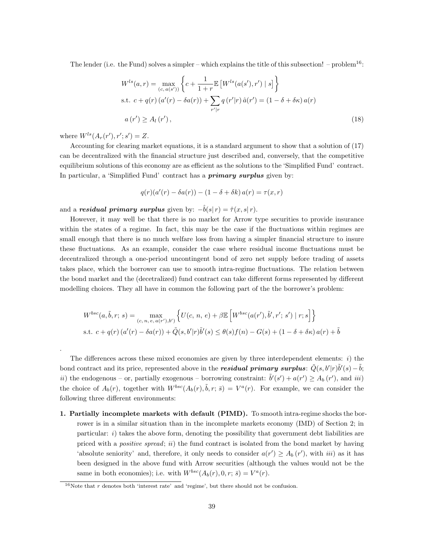The lender (i.e. the Fund) solves a simpler – which explains the title of this subsection! – problem<sup>16</sup>:

$$
W^{ls}(a,r) = \max_{(c,a(s'))} \left\{ c + \frac{1}{1+r} \mathbb{E} \left[ W^{ls}(a(s'),r') \mid s \right] \right\}
$$
  
s.t.  $c + q(r) (a'(r) - \delta a(r)) + \sum_{r'|r} q(r'|r) \hat{a}(r') = (1 - \delta + \delta \kappa) a(r)$   
 $a(r') \ge A_l(r'),$  (18)

where  $W^{ls}(A_r(r'), r'; s') = Z.$ 

.

Accounting for clearing market equations, it is a standard argument to show that a solution of (17) can be decentralized with the financial structure just described and, conversely, that the competitive equilibrium solutions of this economy are as efficient as the solutions to the 'Simplified Fund' contract. In particular, a 'Simplified Fund' contract has a **primary surplus** given by:

$$
q(r)(a'(r) - \delta a(r)) - (1 - \delta + \delta k) a(r) = \tau(x, r)
$$

and a **residual primary surplus** given by:  $-\hat{b}(s|r) = \hat{\tau}(x, s|r)$ .

However, it may well be that there is no market for Arrow type securities to provide insurance within the states of a regime. In fact, this may be the case if the fluctuations within regimes are small enough that there is no much welfare loss from having a simpler financial structure to insure these fluctuations. As an example, consider the case where residual income fluctuations must be decentralized through a one-period uncontingent bond of zero net supply before trading of assets takes place, which the borrower can use to smooth intra-regime fluctuations. The relation between the bond market and the (decetralized) fund contract can take different forms represented by different modelling choices. They all have in common the following part of the the borrower's problem:

$$
W^{bsc}(a,\tilde{b},r;s) = \max_{(c,\,n,\,e,\,a(r'),b')} \left\{ U(c,\,n,\,e) + \beta \mathbb{E}\left[W^{bsc}(a(r'),\tilde{b}',r';\,s') \mid r;s\right] \right\}
$$
  
s.t.  $c + q(r) (a'(r) - \delta a(r)) + \tilde{Q}(s,b'|r)\tilde{b}'(s) \leq \theta(s)f(n) - G(s) + (1 - \delta + \delta\kappa) a(r) + \tilde{b}$ 

The differences across these mixed economies are given by three interdependent elements:  $i)$  the bond contract and its price, represented above in the **residual primary surplus**:  $\tilde{Q}(s, b'|r)\tilde{b}'(s) - \tilde{b}$ ; ii) the endogenous – or, partially exogenous – borrowing constraint:  $\tilde{b}'(s') + a(r') \ge A_b(r')$ , and iii) the choice of  $A_b(r)$ , together with  $W^{bsc}(A_b(r), \tilde{b}, r; \bar{s}) = V^a(r)$ . For example, we can consider the following three different environments:

1. Partially incomplete markets with default (PIMD). To smooth intra-regime shocks the borrower is in a similar situation than in the incomplete markets economy (IMD) of Section 2; in particular:  $i)$  takes the above form, denoting the possibility that government debt liabilities are priced with a positive spread; ii) the fund contract is isolated from the bond market by having 'absolute seniority' and, therefore, it only needs to consider  $a(r') \geq A_b(r')$ , with *iii*) as it has been designed in the above fund with Arrow securities (although the values would not be the same in both economies); i.e. with  $W^{bsc}(A_b(r), 0, r; \bar{s}) = V^a(r)$ .

<sup>&</sup>lt;sup>16</sup>Note that r denotes both 'interest rate' and 'regime', but there should not be confusion.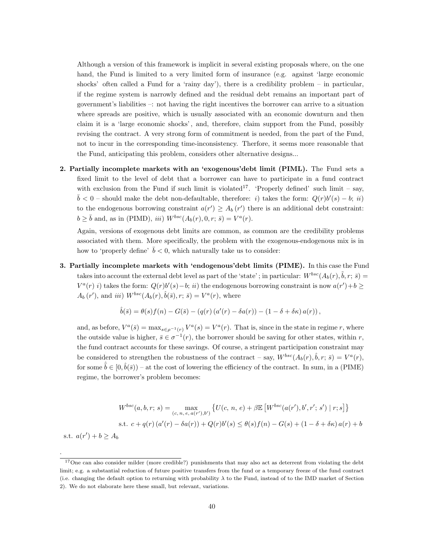Although a version of this framework is implicit in several existing proposals where, on the one hand, the Fund is limited to a very limited form of insurance (e.g. against 'large economic shocks' often called a Fund for a 'rainy day'), there is a credibility problem – in particular, if the regime system is narrowly defined and the residual debt remains an important part of government's liabilities –: not having the right incentives the borrower can arrive to a situation where spreads are positive, which is usually associated with an economic downturn and then claim it is a 'large economic shocks' , and, therefore, claim support from the Fund, possibly revising the contract. A very strong form of commitment is needed, from the part of the Fund, not to incur in the corresponding time-inconsistency. Therfore, it seems more reasonable that the Fund, anticipating this problem, considers other alternative designs...

2. Partially incomplete markets with an 'exogenous'debt limit (PIML). The Fund sets a fixed limit to the level of debt that a borrower can have to participate in a fund contract with exclusion from the Fund if such limit is violated<sup>17</sup>. 'Properly defined' such limit – say,  $\bar{b}$  < 0 – should make the debt non-defaultable, therefore: i) takes the form:  $Q(r)b'(s) - b; i\bar{i}$ to the endogenous borrowing constraint  $a(r') \geq A_b(r')$  there is an additional debt constraint:  $b \geq \bar{b}$  and, as in (PIMD), *iii*)  $W^{bsc}(A_b(r), 0, r; \bar{s}) = V^a(r)$ .

Again, versions of exogenous debt limits are common, as common are the credibility problems associated with them. More specifically, the problem with the exogenous-endogenous mix is in how to 'properly define'  $\bar{b} < 0$ , which naturally take us to consider:

3. Partially incomplete markets with 'endogenous'debt limits (PIME). In this case the Fund takes into account the external debt level as part of the 'state'; in particular:  $W^{bsc}(A_b(r), \tilde{b}, r; \bar{s}) =$  $V^a(r)$  i) takes the form:  $Q(r)b'(s)-b;$  ii) the endogenous borrowing constraint is now  $a(r')+b \geq$  $A_b(r')$ , and iii)  $W^{bsc}(A_b(r), \hat{b}(\bar{s}), r; \bar{s}) = V^a(r)$ , where

$$
\hat{b}(\bar{s}) = \theta(s) f(n) - G(\bar{s}) - (q(r) (a'(r) - \delta a(r)) - (1 - \delta + \delta \kappa) a(r)),
$$

and, as before,  $V^a(\bar{s}) = \max_{s \in \rho^{-1}(r)} V^a(s) = V^a(r)$ . That is, since in the state in regime r, where the outside value is higher,  $\bar{s} \in \sigma^{-1}(r)$ , the borrower should be saving for other states, within r, the fund contract accounts for these savings. Of course, a stringent participation constraint may be considered to strengthen the robustness of the contract – say,  $W^{bsc}(A_b(r), \hat{b}, r; \bar{s}) = V^a(r)$ , for some  $\hat{b} \in [0, \hat{b}(\bar{s}))$  – at the cost of lowering the efficiency of the contract. In sum, in a (PIME) regime, the borrower's problem becomes:

$$
W^{bsc}(a, b, r; s) = \max_{(c, n, e, a(r'), b')} \{ U(c, n, e) + \beta \mathbb{E} \left[ W^{bsc}(a(r'), b', r'; s') \mid r; s \right] \}
$$
  
s.t.  $c + q(r) (a'(r) - \delta a(r)) + Q(r) b'(s) \le \theta(s) f(n) - G(s) + (1 - \delta + \delta \kappa) a(r) + b$ 

s.t.  $a(r') + b \geq A_b$ 

.

<sup>&</sup>lt;sup>17</sup>One can also consider milder (more credible?) punishments that may also act as deterrent from violating the debt limit; e.g. a substantial reduction of future positive transfers from the fund or a temporary freeze of the fund contract (i.e. changing the default option to returning with probability  $\lambda$  to the Fund, instead of to the IMD market of Section 2). We do not elaborate here these small, but relevant, variations.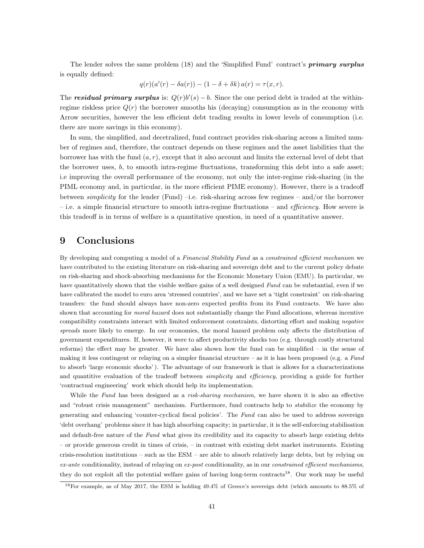The lender solves the same problem (18) and the 'Simplified Fund' contract's **primary surplus** is equally defined:

$$
q(r)(a'(r) - \delta a(r)) - (1 - \delta + \delta k) a(r) = \tau(x, r).
$$

The **residual primary surplus** is:  $Q(r)b'(s) - b$ . Since the one period debt is traded at the withinregime riskless price  $Q(r)$  the borrower smooths his (decaying) consumption as in the economy with Arrow securities, however the less efficient debt trading results in lower levels of consumption (i.e. there are more savings in this economy).

In sum, the simplified, and decetralized, fund contract provides risk-sharing across a limited number of regimes and, therefore, the contract depends on these regimes and the asset liabilities that the borrower has with the fund  $(a, r)$ , except that it also account and limits the external level of debt that the borrower uses,  $b$ , to smooth intra-regime fluctuations, transforming this debt into a safe asset; i.e improving the overall performance of the economy, not only the inter-regime risk-sharing (in the PIML economy and, in particular, in the more efficient PIME economy). However, there is a tradeoff between simplicity for the lender (Fund) –i.e. risk-sharing across few regimes – and/or the borrower – i.e. a simple financial structure to smooth intra-regime fluctuations – and *efficiency*. How severe is this tradeoff is in terms of welfare is a quantitative question, in need of a quantitative answer.

### 9 Conclusions

By developing and computing a model of a Financial Stability Fund as a constrained efficient mechanism we have contributed to the existing literature on risk-sharing and sovereign debt and to the current policy debate on risk-sharing and shock-absorbing mechanisms for the Economic Monetary Union (EMU). In particular, we have quantitatively shown that the visible welfare gains of a well designed Fund can be substantial, even if we have calibrated the model to euro area 'stressed countries', and we have set a 'tight constraint' on risk-sharing transfers: the fund should always have non-zero expected profits from its Fund contracts. We have also shown that accounting for moral hazard does not substantially change the Fund allocations, whereas incentive compatibility constraints interact with limited enforcement constraints, distorting effort and making negative spreads more likely to emerge. In our economies, the moral hazard problem only affects the distribution of government expenditures. If, however, it were to affect productivity shocks too (e.g. through costly structural reforms) the effect may be greater. We have also shown how the fund can be simplified – in the sense of making it less contingent or relaying on a simpler financial structure – as it is has been proposed (e.g. a Fund to absorb 'large economic shocks' ). The advantage of our framework is that is allows for a characterizations and quantitive evaluation of the tradeoff between *simplicity* and *efficiency*, providing a guide for further 'contractual engineering' work which should help its implementation.

While the Fund has been designed as a risk-sharing mechanism, we have shown it is also an effective and "robust crisis management" mechanism. Furthermore, fund contracts help to stabilize the economy by generating and enhancing 'counter-cyclical fiscal policies'. The Fund can also be used to address sovereign 'debt overhang' problems since it has high absorbing capacity; in particular, it is the self-enforcing stabilisation and default-free nature of the Fund what gives its credibility and its capacity to absorb large existing debts – or provide generous credit in times of crisis, – in contrast with existing debt market instruments. Existing crisis-resolution institutions – such as the ESM – are able to absorb relatively large debts, but by relying on  $ex$ -ante conditionality, instead of relaying on  $ex$ -post conditionality, as in our *constrained efficient mechanisms*, they do not exploit all the potential welfare gains of having long-term contracts<sup>18</sup>. Our work may be useful

<sup>18</sup>For example, as of May 2017, the ESM is holding 49.4% of Greece's sovereign debt (which amounts to 88.5% of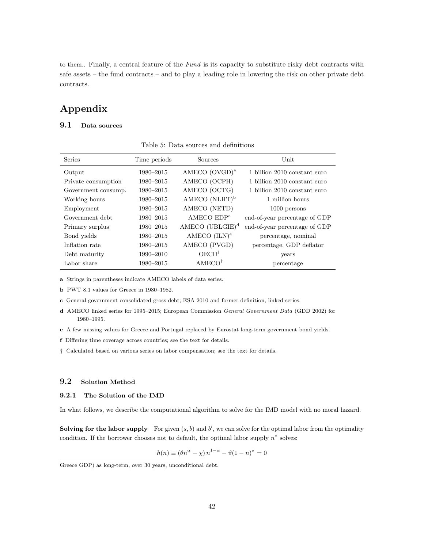to them.. Finally, a central feature of the Fund is its capacity to substitute risky debt contracts with safe assets – the fund contracts – and to play a leading role in lowering the risk on other private debt contracts.

## Appendix

#### 9.1 Data sources

| <b>Series</b>       | Time periods | Sources                   | Unit                          |
|---------------------|--------------|---------------------------|-------------------------------|
| Output              | 1980-2015    | AMECO $(OVGD)^a$          | 1 billion 2010 constant euro  |
| Private consumption | 1980-2015    | AMECO (OCPH)              | 1 billion 2010 constant euro  |
| Government consump. | 1980-2015    | AMECO (OCTG)              | 1 billion 2010 constant euro  |
| Working hours       | 1980-2015    | AMECO (NLHT) <sup>b</sup> | 1 million hours               |
| Employment          | 1980-2015    | AMECO (NETD)              | 1000 persons                  |
| Government debt     | 1980-2015    | AMECOEDP <sup>c</sup>     | end-of-year percentage of GDP |
| Primary surplus     | 1980-2015    | $AMECO (UBLGIE)^d$        | end-of-year percentage of GDP |
| Bond yields         | 1980-2015    | AMECO $(ILN)^e$           | percentage, nominal           |
| Inflation rate      | 1980-2015    | AMECO (PVGD)              | percentage, GDP deflator      |
| Debt maturity       | 1990-2010    | OECD <sup>f</sup>         | years                         |
| Labor share         | 1980-2015    | AMECO <sup>†</sup>        | percentage                    |

Table 5: Data sources and definitions

a Strings in parentheses indicate AMECO labels of data series.

b PWT 8.1 values for Greece in 1980–1982.

c General government consolidated gross debt; ESA 2010 and former definition, linked series.

- d AMECO linked series for 1995–2015; European Commission General Government Data (GDD 2002) for 1980–1995.
- e A few missing values for Greece and Portugal replaced by Eurostat long-term government bond yields.

f Differing time coverage across countries; see the text for details.

† Calculated based on various series on labor compensation; see the text for details.

#### 9.2 Solution Method

#### 9.2.1 The Solution of the IMD

In what follows, we describe the computational algorithm to solve for the IMD model with no moral hazard.

Solving for the labor supply For given  $(s, b)$  and  $b'$ , we can solve for the optimal labor from the optimality condition. If the borrower chooses not to default, the optimal labor supply  $n^*$  solves:

$$
h(n) \equiv (\theta n^{\alpha} - \chi) n^{1-\alpha} - \vartheta (1-n)^{\sigma} = 0
$$

Greece GDP) as long-term, over 30 years, unconditional debt.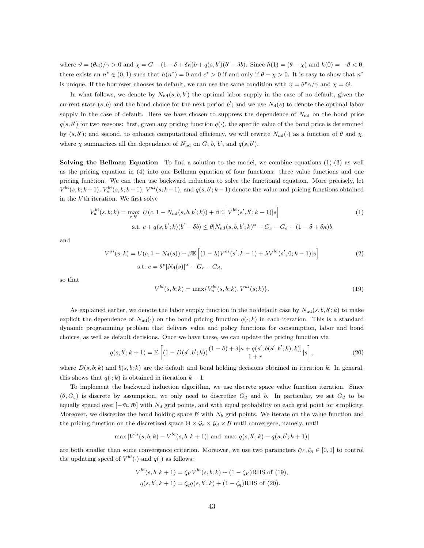where  $\vartheta = (\theta \alpha)/\gamma > 0$  and  $\chi = G - (1 - \delta + \delta \kappa)b + q(s, b')(b' - \delta b)$ . Since  $h(1) = (\theta - \chi)$  and  $h(0) = -\vartheta < 0$ , there exists an  $n^* \in (0,1)$  such that  $h(n^*) = 0$  and  $c^* > 0$  if and only if  $\theta - \chi > 0$ . It is easy to show that  $n^*$ is unique. If the borrower chooses to default, we can use the same condition with  $\vartheta = \theta^p \alpha / \gamma$  and  $\chi = G$ .

In what follows, we denote by  $N_{\text{nd}}(s, b, b')$  the optimal labor supply in the case of no default, given the current state  $(s, b)$  and the bond choice for the next period b'; and we use  $N_d(s)$  to denote the optimal labor supply in the case of default. Here we have chosen to suppress the dependence of  $N_{\rm nd}$  on the bond price  $q(s, b')$  for two reasons: first, given any pricing function  $q(.)$ , the specific value of the bond price is determined by  $(s, b')$ ; and second, to enhance computational efficiency, we will rewrite  $N_{\text{nd}}(\cdot)$  as a function of  $\theta$  and  $\chi$ , where  $\chi$  summarizes all the dependence of  $N_{\rm nd}$  on  $G, b, b',$  and  $q(s, b').$ 

**Solving the Bellman Equation** To find a solution to the model, we combine equations  $(1)-(3)$  as well as the pricing equation in (4) into one Bellman equation of four functions: three value functions and one pricing function. We can then use backward induction to solve the functional equation. More precisely, let  $V^{bi}(s, b; k-1)$ ,  $V^{bi}_n(s, b; k-1)$ ,  $V^{ai}(s; k-1)$ , and  $q(s, b'; k-1)$  denote the value and pricing functions obtained in the  $k$ <sup>th</sup> iteration. We first solve

$$
V_n^{bi}(s, b; k) = \max_{c, b'} U(c, 1 - N_{\rm nd}(s, b, b'; k)) + \beta \mathbb{E} \left[ V^{bi}(s', b'; k - 1) | s \right]
$$
  
s.t.  $c + q(s, b'; k) (b' - \delta b) \le \theta [N_{\rm nd}(s, b, b'; k)^{\alpha} - G_c - G_d + (1 - \delta + \delta \kappa) b,$  (1)

and

$$
V^{ai}(s;k) = U(c, 1 - N_d(s)) + \beta \mathbb{E}\left[ (1 - \lambda)V^{ai}(s'; k - 1) + \lambda V^{bi}(s', 0; k - 1)|s \right]
$$
  
s.t.  $c = \theta^p [N_d(s)]^{\alpha} - G_c - G_d$ , (2)

so that

$$
V^{bi}(s,b;k) = \max\{V_n^{bi}(s,b;k), V^{ai}(s;k)\}.
$$
\n(19)

As explained earlier, we denote the labor supply function in the no default case by  $N_{\text{nd}}(s, b, b'; k)$  to make explicit the dependence of  $N_{\text{nd}}(\cdot)$  on the bond pricing function  $q(\cdot;k)$  in each iteration. This is a standard dynamic programming problem that delivers value and policy functions for consumption, labor and bond choices, as well as default decisions. Once we have these, we can update the pricing function via

$$
q(s,b';k+1) = \mathbb{E}\left[ (1 - D(s',b';k)) \frac{(1-\delta) + \delta[\kappa + q(s',b(s',b';k);k)]}{1+r} |s \right],
$$
\n(20)

where  $D(s, b; k)$  and  $b(s, b; k)$  are the default and bond holding decisions obtained in iteration k. In general, this shows that  $q(\cdot; k)$  is obtained in iteration  $k - 1$ .

To implement the backward induction algorithm, we use discrete space value function iteration. Since  $(\theta, G_c)$  is discrete by assumption, we only need to discretize  $G_d$  and b. In particular, we set  $G_d$  to be equally spaced over  $[-\bar{m}, \bar{m}]$  with  $N_d$  grid points, and with equal probability on each grid point for simplicity. Moreover, we discretize the bond holding space  $\beta$  with  $N_b$  grid points. We iterate on the value function and the pricing function on the discretized space  $\Theta \times \mathcal{G}_c \times \mathcal{G}_d \times \mathcal{B}$  until convergece, namely, until

$$
\max |V^{bi}(s,b;k) - V^{bi}(s,b;k+1)| \text{ and } \max |q(s,b';k) - q(s,b';k+1)|
$$

are both smaller than some convergence criterion. Moreover, we use two parameters  $\zeta_V, \zeta_q \in [0,1]$  to control the updating speed of  $V^{bi}(\cdot)$  and  $q(\cdot)$  as follows:

$$
V^{bi}(s, b; k+1) = \zeta_V V^{bi}(s, b; k) + (1 - \zeta_V) \text{RHS of (19)},
$$
  
 
$$
q(s, b'; k+1) = \zeta_q q(s, b'; k) + (1 - \zeta_q) \text{RHS of (20)}.
$$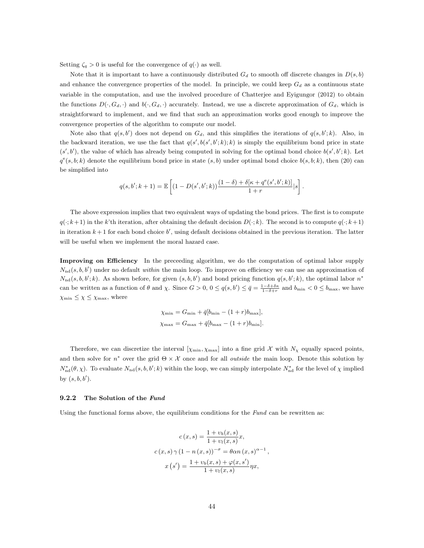Setting  $\zeta_q > 0$  is useful for the convergence of  $q(\cdot)$  as well.

Note that it is important to have a continuously distributed  $G_d$  to smooth off discrete changes in  $D(s, b)$ and enhance the convergence properties of the model. In principle, we could keep  $G_d$  as a continuous state variable in the computation, and use the involved procedure of Chatterjee and Eyigungor (2012) to obtain the functions  $D(\cdot, G_d, \cdot)$  and  $b(\cdot, G_d, \cdot)$  accurately. Instead, we use a discrete approximation of  $G_d$ , which is straightforward to implement, and we find that such an approximation works good enough to improve the convergence properties of the algorithm to compute our model.

Note also that  $q(s, b')$  does not depend on  $G_d$ , and this simplifies the iterations of  $q(s, b'; k)$ . Also, in the backward iteration, we use the fact that  $q(s', b(s', b'; k); k)$  is simply the equilibrium bond price in state  $(s', b')$ , the value of which has already being computed in solving for the optimal bond choice  $b(s', b'; k)$ . Let  $q^{e}(s, b; k)$  denote the equilibrium bond price in state  $(s, b)$  under optimal bond choice  $b(s, b; k)$ , then (20) can be simplified into

$$
q(s,b';k+1) = \mathbb{E}\left[(1-D(s',b';k))\frac{(1-\delta)+\delta[\kappa+q^\mathrm{e}(s',b';k)]}{1+r}|s\right].
$$

The above expression implies that two equivalent ways of updating the bond prices. The first is to compute  $q(\cdot; k+1)$  in the k'th iteration, after obtaining the default decision  $D(\cdot; k)$ . The second is to compute  $q(\cdot; k+1)$ in iteration  $k+1$  for each bond choice  $b'$ , using default decisions obtained in the previous iteration. The latter will be useful when we implement the moral hazard case.

Improving on Efficiency In the preceeding algorithm, we do the computation of optimal labor supply  $N_{\rm nd}(s, b, b')$  under no default within the main loop. To improve on efficiency we can use an approximation of  $N_{\rm nd}(s, b, b'; k)$ . As shown before, for given  $(s, b, b')$  and bond pricing function  $q(s, b'; k)$ , the optimal labor  $n^*$ can be written as a function of  $\theta$  and  $\chi$ . Since  $G > 0$ ,  $0 \le q(s, b') \le \bar{q} = \frac{1-\delta+\delta\kappa}{1-\delta+r}$  and  $b_{\min} < 0 \le b_{\max}$ , we have  $\chi_{\min} \leq \chi \leq \chi_{\max}$ , where

$$
\chi_{\min} = G_{\min} + \bar{q}[b_{\min} - (1+r)b_{\max}],
$$
  

$$
\chi_{\max} = G_{\max} + \bar{q}[b_{\max} - (1+r)b_{\min}].
$$

Therefore, we can discretize the interval  $[\chi_{\min}, \chi_{\max}]$  into a fine grid X with  $N_{\chi}$  equally spaced points, and then solve for  $n^*$  over the grid  $\Theta \times \mathcal{X}$  once and for all *outside* the main loop. Denote this solution by  $N_{\text{nd}}^*(\theta, \chi)$ . To evaluate  $N_{\text{nd}}(s, b, b'; k)$  within the loop, we can simply interpolate  $N_{\text{nd}}^*$  for the level of  $\chi$  implied by  $(s, b, b')$ .

#### 9.2.2 The Solution of the Fund

Using the functional forms above, the equilibrium conditions for the Fund can be rewritten as:

$$
c(x,s) = \frac{1+v_b(x,s)}{1+v_l(x,s)}x,
$$
  
\n
$$
c(x,s)\gamma (1-n(x,s))^{-\sigma} = \theta \alpha n(x,s)^{\alpha-1},
$$
  
\n
$$
x(s') = \frac{1+v_b(x,s) + \varphi(x,s')}{1+v_l(x,s)}\eta x,
$$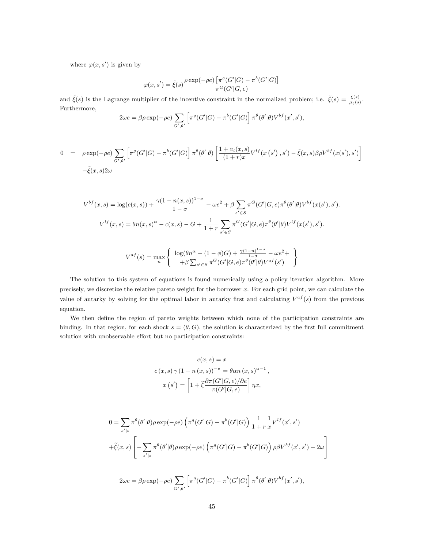where  $\varphi(x, s')$  is given by

$$
\varphi(x,s')=\tilde{\xi}(s)\frac{\rho\exp(-\rho e)\left[\pi^g(G'|G)-\pi^b(G'|G)\right]}{\pi^G(G'|G,e)}
$$

and  $\tilde{\xi}(s)$  is the Lagrange multiplier of the incentive constraint in the normalized problem; i.e.  $\tilde{\xi}(s) = \frac{\xi(s)}{\mu_b(s)}$ . Furthermore,

$$
2\omega e = \beta \rho \exp(-\rho e) \sum_{G',\theta'} \left[ \pi^g(G'|G) - \pi^b(G'|G) \right] \pi^{\theta}(\theta'|\theta) V^{bf}(x',s'),
$$

$$
0 = \rho \exp(-\rho e) \sum_{G',\theta'} \left[ \pi^g(G'|G) - \pi^b(G'|G) \right] \pi^{\theta}(\theta'|\theta) \left[ \frac{1 + v_l(x,s)}{(1+r)x} V^{lf}(x(s'),s') - \tilde{\xi}(x,s)\beta \rho V^{bf}(x(s'),s') \right]
$$

$$
-\tilde{\xi}(x,s)2\omega
$$

$$
V^{bf}(x,s) = \log(c(x,s)) + \frac{\gamma(1 - n(x,s))^{1-\sigma}}{1-\sigma} - \omega e^2 + \beta \sum_{s' \in S} \pi^G(G'|G,e)\pi^{\theta}(\theta'|\theta)V^{bf}(x(s'),s').
$$
  

$$
V^{lf}(x,s) = \theta n(x,s)^{\alpha} - c(x,s) - G + \frac{1}{1+r} \sum_{s' \in S} \pi^G(G'|G,e)\pi^{\theta}(\theta'|\theta)V^{lf}(x(s'),s').
$$
  

$$
V^{af}(s) = \max_{n} \begin{cases} \log(\theta n^{\alpha} - (1-\phi)G) + \frac{\gamma(1-n)^{1-\sigma}}{1-\sigma} - \omega e^2 + \\ +\beta \sum_{s'} \pi^G(G'|G,e)\pi^{\theta}(\theta'|\theta)V^{af}(s') \end{cases}
$$

 $+\beta \sum_{s' \in S} \pi^G(G'|G,e) \pi^{\theta}(\theta'|\theta) V^{af}(s')$ 

The solution to this system of equations is found numerically using a policy iteration algorithm. More precisely, we discretize the relative pareto weight for the borrower  $x$ . For each grid point, we can calculate the value of autarky by solving for the optimal labor in autarky first and calculating  $V^{af}(s)$  from the previous equation.

We then define the region of pareto weights between which none of the participation constraints are binding. In that region, for each shock  $s = (\theta, G)$ , the solution is characterized by the first full commitment solution with unobservable effort but no participation constraints:

$$
c(x, s) = x
$$
  
\n
$$
c(x, s) \gamma (1 - n(x, s))^{-\sigma} = \theta \alpha n (x, s)^{\alpha - 1},
$$
  
\n
$$
x(s') = \left[1 + \tilde{\xi} \frac{\partial \pi (G'|G, e)}{\pi (G'|G, e)}\right] \eta x,
$$

$$
0 = \sum_{s'|s} \pi^{\theta}(\theta'|\theta)\rho \exp(-\rho e) \left(\pi^g(G'|\mathcal{G}) - \pi^b(G'|\mathcal{G})\right) \frac{1}{1+r} \frac{1}{x} V^{lf}(x',s')
$$

$$
+ \tilde{\xi}(x,s) \left[ -\sum_{s'|s} \pi^{\theta}(\theta'|\theta)\rho \exp(-\rho e) \left(\pi^g(G'|\mathcal{G}) - \pi^b(G'|\mathcal{G})\right) \rho \beta V^{bf}(x',s') - 2\omega \right]
$$

$$
2\omega e = \beta \rho \exp(-\rho e) \sum_{G',\theta'} \left[ \pi^g(G' | G) - \pi^b(G' | G) \right] \pi^{\theta}(\theta' | \theta) V^{bf}(x', s'),
$$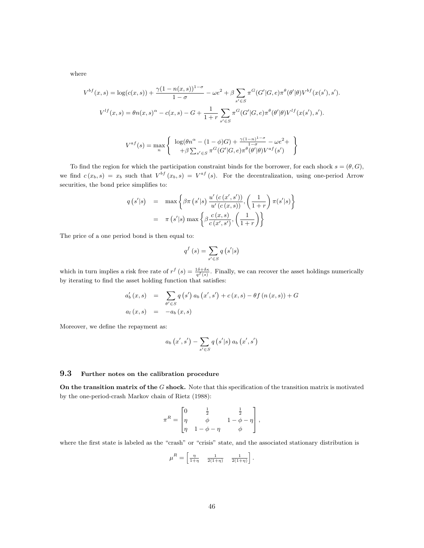where

$$
V^{bf}(x,s) = \log(c(x,s)) + \frac{\gamma(1 - n(x,s))^{1-\sigma}}{1-\sigma} - \omega e^2 + \beta \sum_{s' \in S} \pi^G(G'|G,e)\pi^{\theta}(\theta'|\theta)V^{bf}(x(s'),s').
$$

$$
V^{lf}(x,s) = \theta n(x,s)^{\alpha} - c(x,s) - G + \frac{1}{1+r} \sum_{s' \in S} \pi^G(G'|G,e)\pi^{\theta}(\theta'|\theta)V^{lf}(x(s'),s').
$$

$$
V^{af}(s) = \max_{n} \begin{cases} \log(\theta n^{\alpha} - (1-\phi)G) + \frac{\gamma(1-n)^{1-\sigma}}{1-\sigma} - \omega e^2 + \\ +\beta \sum_{s' \in S} \pi^G(G'|G,e)\pi^{\theta}(\theta'|\theta)V^{af}(s') \end{cases}
$$

To find the region for which the participation constraint binds for the borrower, for each shock  $s = (\theta, G)$ , we find  $c(x_b, s) = x_b$  such that  $V^{bf}(x_b, s) = V^{af}(s)$ . For the decentralization, using one-period Arrow securities, the bond price simplifies to:

$$
q(s'|s) = \max \left\{ \beta \pi (s'|s) \frac{u'(c(x',s'))}{u'(c(x,s))}, \left(\frac{1}{1+r}\right) \pi(s'|s) \right\}
$$

$$
= \pi (s'|s) \max \left\{ \beta \frac{c(x,s)}{c(x',s')}, \left(\frac{1}{1+r}\right) \right\}
$$

The price of a one period bond is then equal to:

$$
q^f\left(s\right) = \sum_{s' \in S} q\left(s'|s\right)
$$

which in turn implies a risk free rate of  $r^f(s) = \frac{1\delta + \delta\kappa}{q^f(s)}$ . Finally, we can recover the asset holdings numerically by iterating to find the asset holding function that satisfies:

$$
a'_{b}(x,s) = \sum_{\theta' \in S} q(s') a_{b}(x',s') + c(x,s) - \theta f(n(x,s)) + G
$$
  

$$
a_{l}(x,s) = -a_{b}(x,s)
$$

Moreover, we define the repayment as:

$$
a_b(x',s') - \sum_{s' \in S} q(s'|s) a_b(x',s')
$$

#### 9.3 Further notes on the calibration procedure

On the transition matrix of the  $G$  shock. Note that this specification of the transition matrix is motivated by the one-period-crash Markov chain of Rietz (1988):

$$
\pi^R = \begin{bmatrix} 0 & \frac{1}{2} & \frac{1}{2} \\ \eta & \phi & 1-\phi-\eta \\ \eta & 1-\phi-\eta & \phi \end{bmatrix},
$$

where the first state is labeled as the "crash" or "crisis" state, and the associated stationary distribution is

$$
\mu^R = \begin{bmatrix} \frac{\eta}{1+\eta} & \frac{1}{2(1+\eta)} & \frac{1}{2(1+\eta)} \end{bmatrix}.
$$